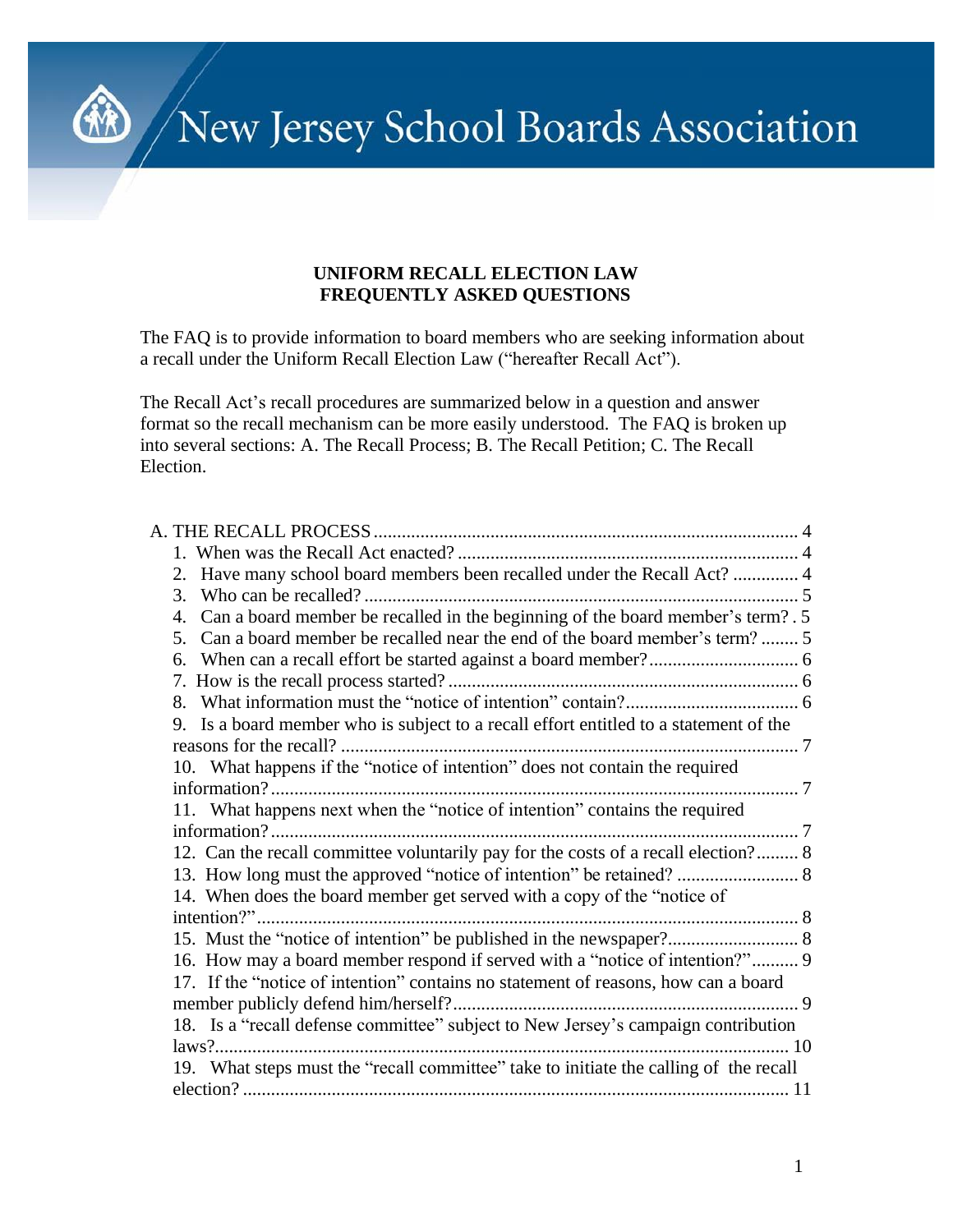New Jersey School Boards Association

#### **UNIFORM RECALL ELECTION LAW FREQUENTLY ASKED QUESTIONS**

The FAQ is to provide information to board members who are seeking information about a recall under the Uniform Recall Election Law ("hereafter Recall Act").

The Recall Act's recall procedures are summarized below in a question and answer format so the recall mechanism can be more easily understood. The FAQ is broken up into several sections: A. The Recall Process; B. The Recall Petition; C. The Recall Election.

| 2. Have many school board members been recalled under the Recall Act?  4              |  |
|---------------------------------------------------------------------------------------|--|
| 3.                                                                                    |  |
| 4. Can a board member be recalled in the beginning of the board member's term?. 5     |  |
| Can a board member be recalled near the end of the board member's term?  5<br>5.      |  |
|                                                                                       |  |
|                                                                                       |  |
|                                                                                       |  |
| 9. Is a board member who is subject to a recall effort entitled to a statement of the |  |
|                                                                                       |  |
| 10. What happens if the "notice of intention" does not contain the required           |  |
|                                                                                       |  |
| 11. What happens next when the "notice of intention" contains the required            |  |
|                                                                                       |  |
| 12. Can the recall committee voluntarily pay for the costs of a recall election? 8    |  |
|                                                                                       |  |
| 14. When does the board member get served with a copy of the "notice of               |  |
|                                                                                       |  |
|                                                                                       |  |
| 16. How may a board member respond if served with a "notice of intention?" 9          |  |
| 17. If the "notice of intention" contains no statement of reasons, how can a board    |  |
|                                                                                       |  |
| 18. Is a "recall defense committee" subject to New Jersey's campaign contribution     |  |
|                                                                                       |  |
| 19. What steps must the "recall committee" take to initiate the calling of the recall |  |
|                                                                                       |  |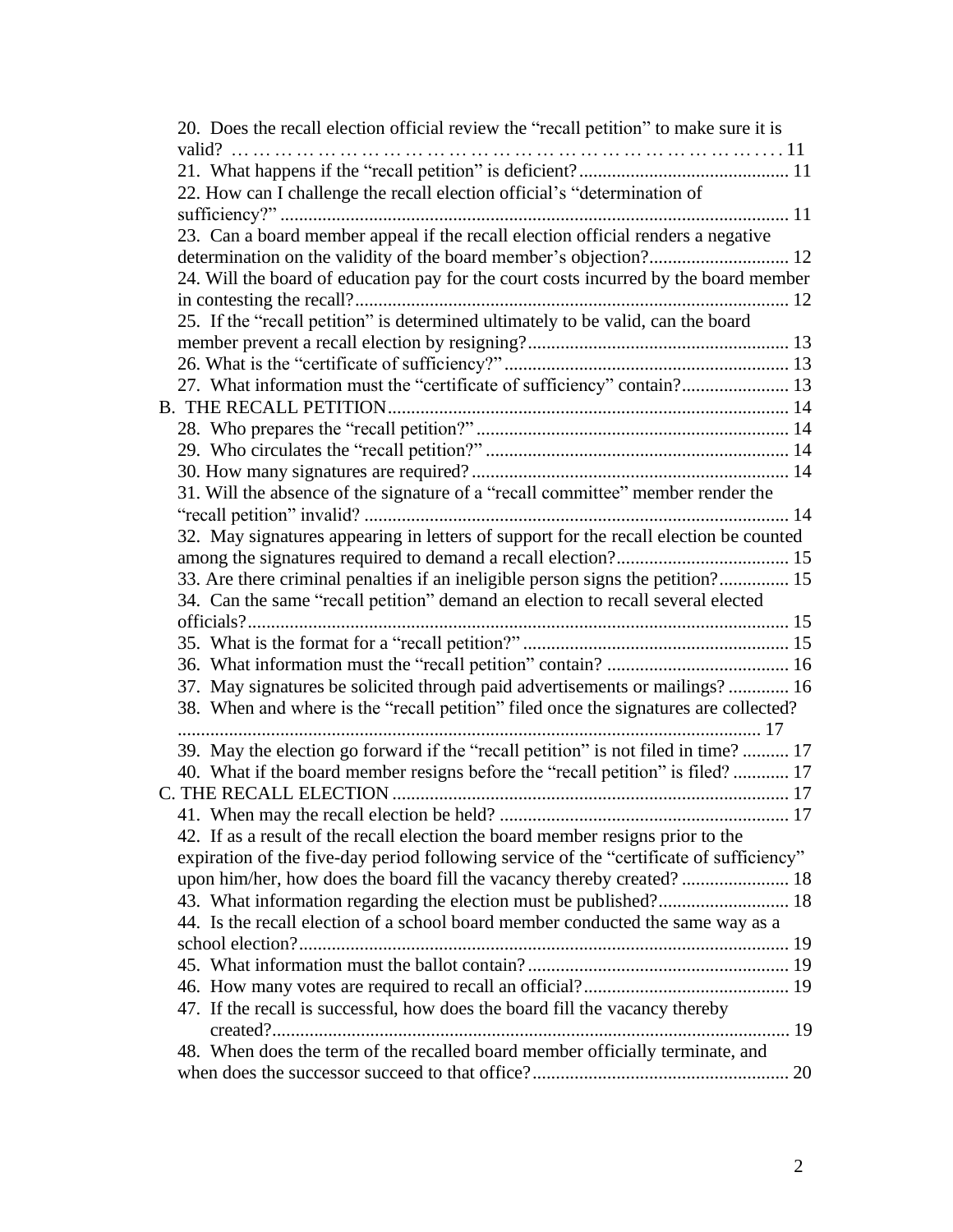| 20. Does the recall election official review the "recall petition" to make sure it is   |  |
|-----------------------------------------------------------------------------------------|--|
|                                                                                         |  |
|                                                                                         |  |
| 22. How can I challenge the recall election official's "determination of                |  |
|                                                                                         |  |
| 23. Can a board member appeal if the recall election official renders a negative        |  |
|                                                                                         |  |
| 24. Will the board of education pay for the court costs incurred by the board member    |  |
|                                                                                         |  |
| 25. If the "recall petition" is determined ultimately to be valid, can the board        |  |
|                                                                                         |  |
|                                                                                         |  |
| 27. What information must the "certificate of sufficiency" contain? 13                  |  |
|                                                                                         |  |
|                                                                                         |  |
|                                                                                         |  |
|                                                                                         |  |
| 31. Will the absence of the signature of a "recall committee" member render the         |  |
|                                                                                         |  |
| 32. May signatures appearing in letters of support for the recall election be counted   |  |
|                                                                                         |  |
| 33. Are there criminal penalties if an ineligible person signs the petition? 15         |  |
| 34. Can the same "recall petition" demand an election to recall several elected         |  |
|                                                                                         |  |
|                                                                                         |  |
|                                                                                         |  |
| 37. May signatures be solicited through paid advertisements or mailings? 16             |  |
| 38. When and where is the "recall petition" filed once the signatures are collected?    |  |
|                                                                                         |  |
| 39. May the election go forward if the "recall petition" is not filed in time?  17      |  |
| 40. What if the board member resigns before the "recall petition" is filed? 17          |  |
|                                                                                         |  |
|                                                                                         |  |
| 42. If as a result of the recall election the board member resigns prior to the         |  |
| expiration of the five-day period following service of the "certificate of sufficiency" |  |
|                                                                                         |  |
| 43. What information regarding the election must be published? 18                       |  |
| 44. Is the recall election of a school board member conducted the same way as a         |  |
|                                                                                         |  |
|                                                                                         |  |
|                                                                                         |  |
| 47. If the recall is successful, how does the board fill the vacancy thereby            |  |
|                                                                                         |  |
| 48. When does the term of the recalled board member officially terminate, and           |  |
|                                                                                         |  |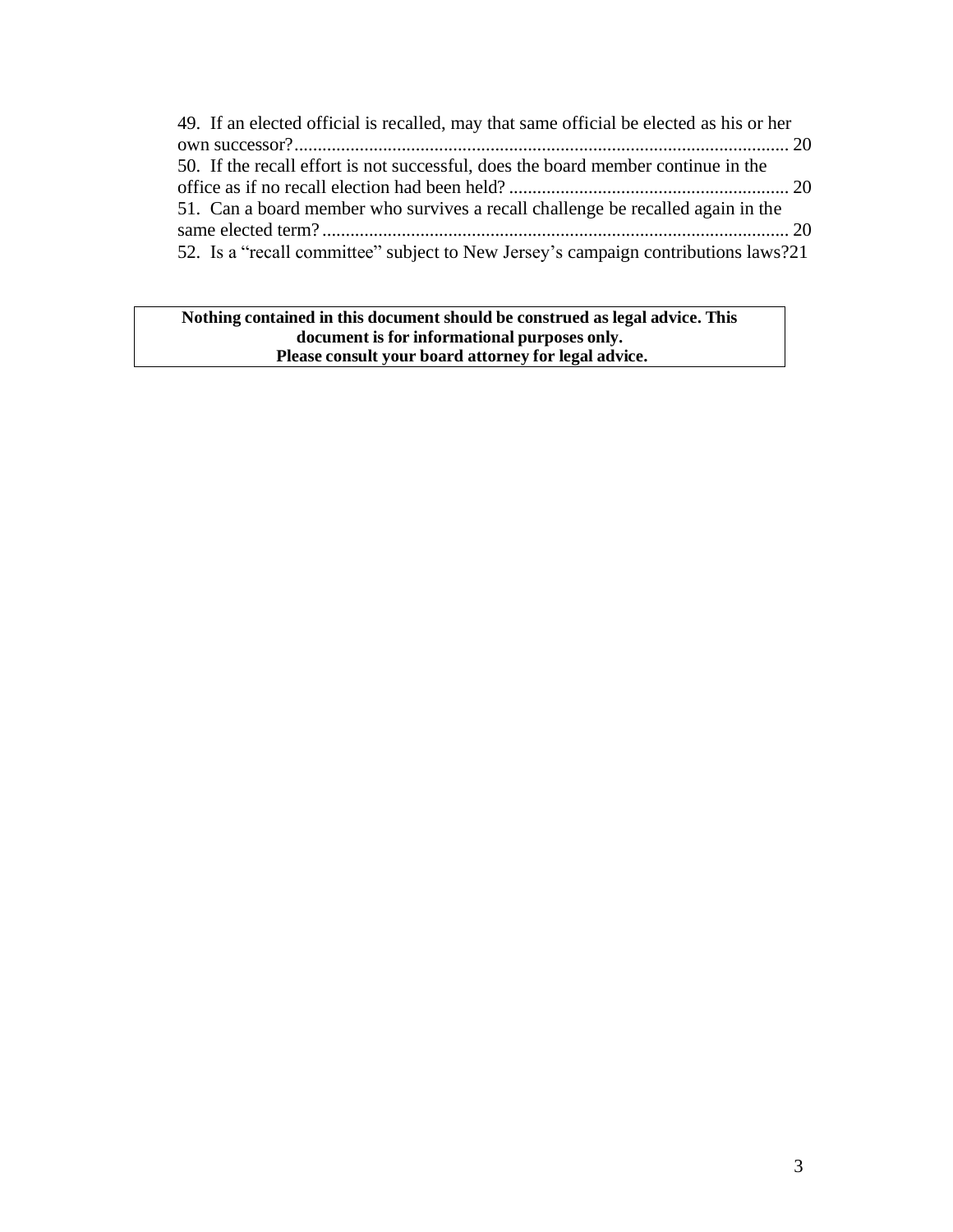| 49. If an elected official is recalled, may that same official be elected as his or her |  |
|-----------------------------------------------------------------------------------------|--|
|                                                                                         |  |
| 50. If the recall effort is not successful, does the board member continue in the       |  |
|                                                                                         |  |
| 51. Can a board member who survives a recall challenge be recalled again in the         |  |
|                                                                                         |  |
| 52. Is a "recall committee" subject to New Jersey's campaign contributions laws?21      |  |

**Nothing contained in this document should be construed as legal advice. This document is for informational purposes only. Please consult your board attorney for legal advice.**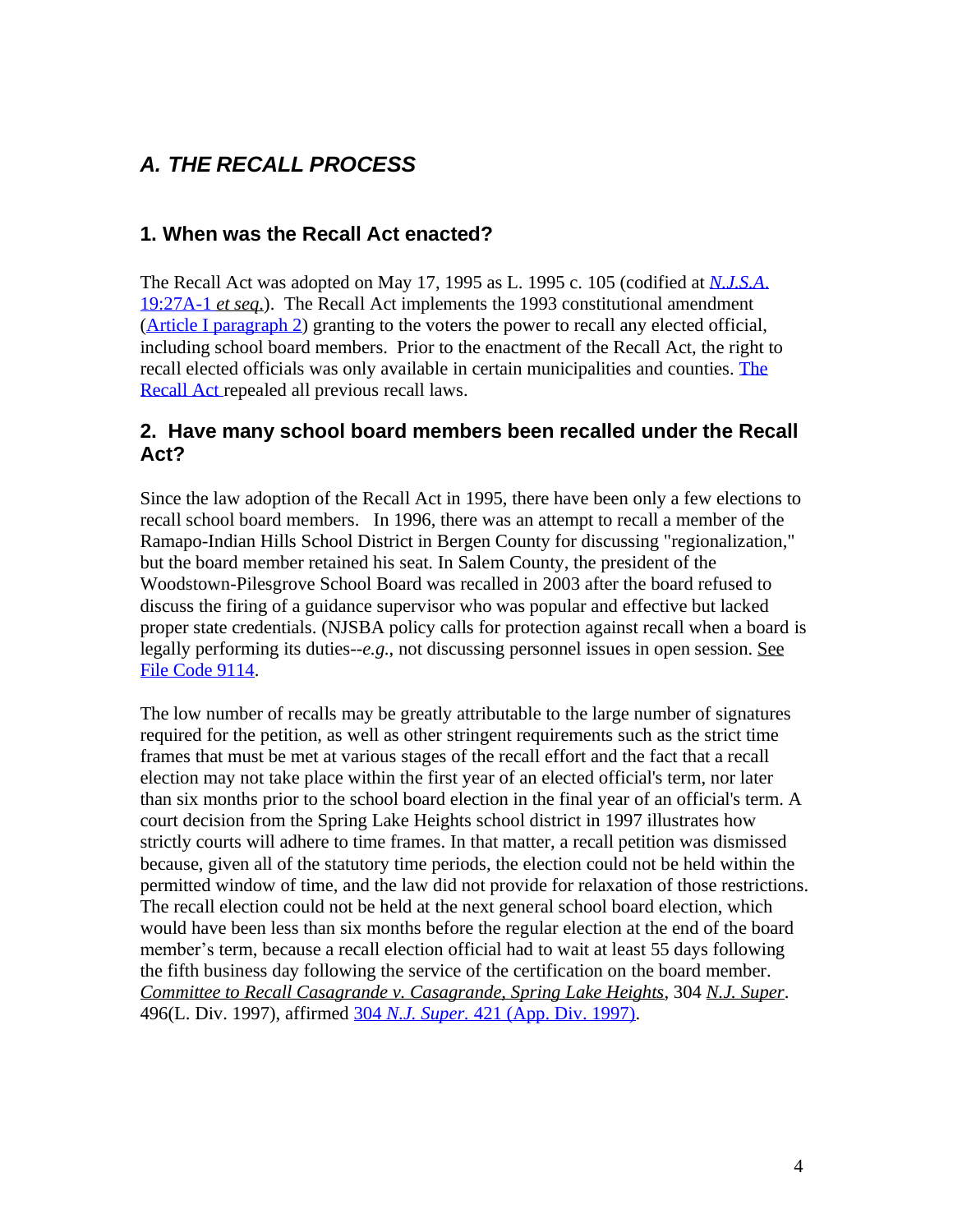# <span id="page-3-0"></span>*A. THE RECALL PROCESS*

#### **1. When was the Recall Act enacted?**

The Recall Act was adopted on May 17, 1995 as L. 1995 c. 105 (codified at *[N.J.S.A](https://njlaw.rutgers.edu/cgi-bin/njstats/showsect.cgi?section=19%3A27A-1&actn=getsect)*. [19:27A-1](http://lis.njleg.state.nj.us/cgi-bin/om_isapi.dll?clientID=143318&Depth=2&TD=WRAP&advquery=%2219%3a27A-1%22&depth=4&expandheadings=on&headingswithhits=on&hitsperheading=on&infobase=statutes.nfo&rank&record=%7b9014%7d&softpage=Doc_Frame_PG42&wordsaroundhits=2&x=26&y=20&zz) *et seq*.). The Recall Act implements the 1993 constitutional amendment (Article I [paragraph](https://www.njleg.state.nj.us/lawsconstitution/constitution.asp) 2) granting to the voters the power to recall any elected official, including school board members. Prior to the enactment of the Recall Act, the right [to](https://njlaw.rutgers.edu/cgi-bin/njstats/showsect.cgi?section=19%3A27A-1&actn=getsect) recall elected officials was only available in certain municipalities and counties. [The](https://njlaw.rutgers.edu/cgi-bin/njstats/showsect.cgi?section=19%3A27A-1&actn=getsect) [Recall Act](https://njlaw.rutgers.edu/cgi-bin/njstats/showsect.cgi?section=19%3A27A-1&actn=getsect) repealed all previous recall laws.

#### **2. Have many school board members been recalled under the Recall Act?**

Since the law adoption of the Recall Act in 1995, there have been only a few elections to recall school board members. In 1996, there was an attempt to recall a member of the Ramapo-Indian Hills School District in Bergen County for discussing "regionalization," but the board member retained his seat. In Salem County, the president of the Woodstown-Pilesgrove School Board was recalled in 2003 after the board refused to discuss the firing of a guidance supervisor who was popular and effective but lacked proper state credentials. (NJSBA policy calls for protection against recall when a board is legally performing its duties--*e.g*., not discussing personnel issues in open session. See File Code [9114.](https://www.njsba.org/wp-content/uploads/2016/02/resources-policy-ppm-9000-9114.pdf)

The low number of recalls may be greatly attributable to the large number of signatures required for the petition, as well as other stringent requirements such as the strict time frames that must be met at various stages of the recall effort and the fact that a recall election may not take place within the first year of an elected official's term, nor later than six months prior to the school board election in the final year of an official's term. A court decision from the Spring Lake Heights school district in 1997 illustrates how strictly courts will adhere to time frames. In that matter, a recall petition was dismissed because, given all of the statutory time periods, the election could not be held within the permitted window of time, and the law did not provide for relaxation of those restrictions. The recall election could not be held at the next general school board election, which would have been less than six months before the regular election at the end of the board member's term, because a recall election official had to wait at least 55 days following the fifth business day following the service of the certification on the board member. *Committee to Recall Casagrande v. Casagrande, Spring Lake Heights*, 304 *N.J. Super*. 496(L. Div. 1997), affirmed 304 *N.J. Super.* [421 \(App. Div. 1997\).](https://njlaw.rutgers.edu/collections/courts/appellate/a3963-96.opn.html)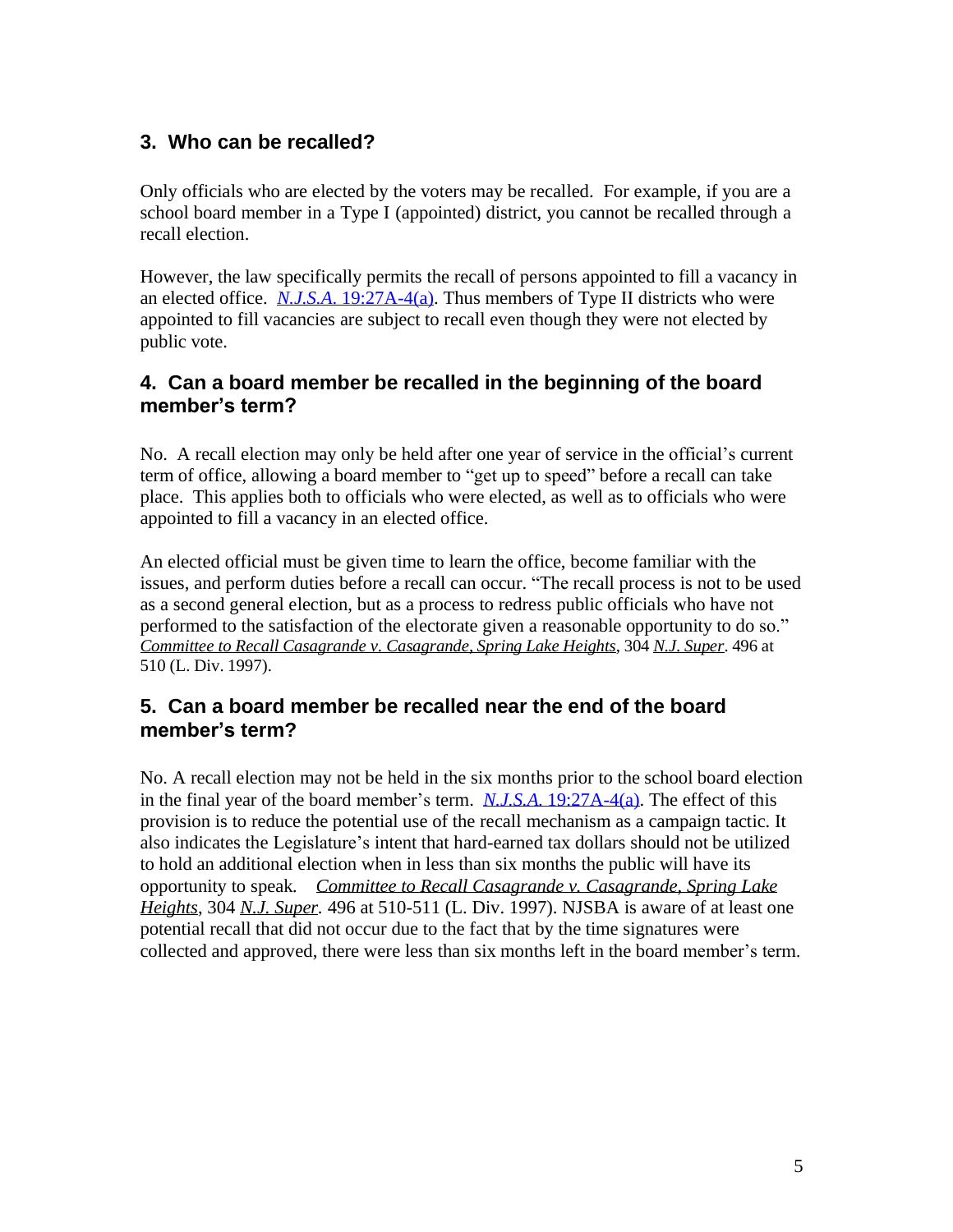## <span id="page-4-0"></span>**3. Who can be recalled?**

Only officials who are elected by the voters may be recalled. For example, if you are a school board member in a Type I (appointed) district, you cannot be recalled through a recall election.

However, the law specifically permits the recall of persons appointed to fill a vacancy in an elected office. *N.J.S.A*. [19:27A-4\(a\).](https://njlaw.rutgers.edu/cgi-bin/njstats/showsect.cgi?title=19&chapter=27A§ion=4&actn=getsect) Thus members of Type II districts who were appointed to fill vacancies are subject to recall even though they were not elected by public vote.

## **4. Can a board member be recalled in the beginning of the board member's term?**

No. A recall election may only be held after one year of service in the official's current term of office, allowing a board member to "get up to speed" before a recall can take place. This applies both to officials who were elected, as well as to officials who were appointed to fill a vacancy in an elected office.

An elected official must be given time to learn the office, become familiar with the issues, and perform duties before a recall can occur. "The recall process is not to be used as a second general election, but as a process to redress public officials who have not performed to the satisfaction of the electorate given a reasonable opportunity to do so." *Committee to Recall Casagrande v. Casagrande, Spring Lake Heights*, 304 *N.J. Super*. 496 at 510 (L. Div. 1997).

#### **5. Can a board member be recalled near the end of the board member's term?**

No. A recall election may not be held in the six months prior to the school board election in the final year of the board member's term. *N.J.S.A*. [19:27A-4\(a\).](https://njlaw.rutgers.edu/cgi-bin/njstats/showsect.cgi?title=19&chapter=27A§ion=4&actn=getsect) The effect of this provision is to reduce the potential use of the recall mechanism as a campaign tactic. It also indicates the Legislature's intent that hard-earned tax dollars should not be utilized to hold an additional election when in less than six months the public will have its opportunity to speak*. Committee to Recall Casagrande v. Casagrande, Spring Lake Heights*, 304 *N.J. Super.* 496 at 510-511 (L. Div. 1997). NJSBA is aware of at least one potential recall that did not occur due to the fact that by the time signatures were collected and approved, there were less than six months left in the board member's term.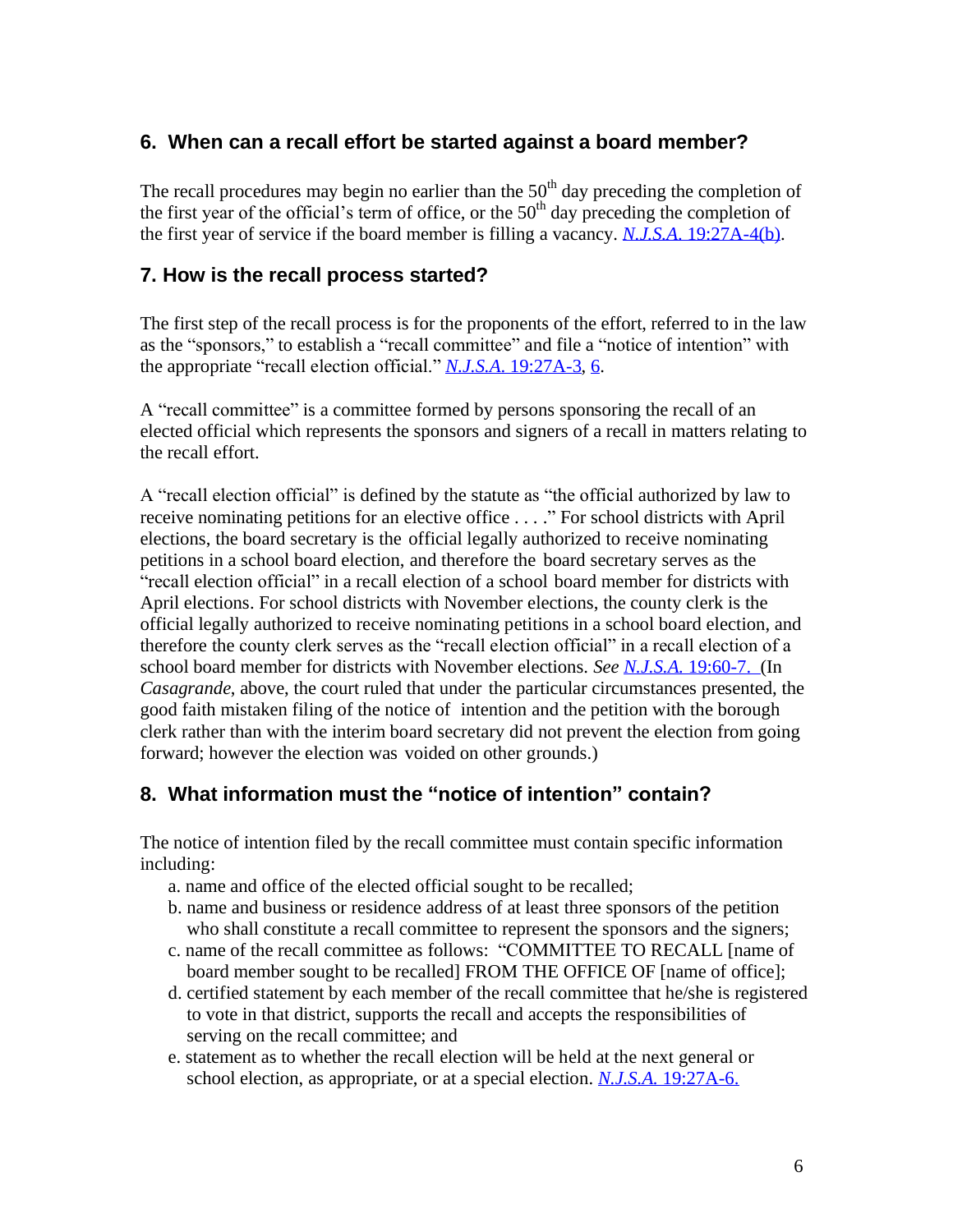#### <span id="page-5-0"></span>**6. When can a recall effort be started against a board member?**

The recall procedures may begin no earlier than the  $50<sup>th</sup>$  day preceding the completion of the first year of the official's term of office, or the  $50<sup>th</sup>$  day preceding the completion of the first year of service if the board member is filling a vacancy. *N.J.S.A*. [19:27A-4\(b\).](https://njlaw.rutgers.edu/cgi-bin/njstats/showsect.cgi?title=19&chapter=27A§ion=4&actn=getsect)

#### **7. How is the recall process started?**

The first step of the recall process is for the proponents of the effort, referred to in the law as the "sponsors," to establish a "recall committee" and file a "notice of intention" with the appropriate "recall election official." *N.J.S.A*[. 19:27A-3,](https://njlaw.rutgers.edu/cgi-bin/njstats/showsect.cgi?section=19%3A27A-3&actn=getsect) [6.](https://njlaw.rutgers.edu/cgi-bin/njstats/showsect.cgi?section=19%3A27A-6&actn=getsect)

A "recall committee" is a committee formed by persons sponsoring the recall of an elected official which represents the sponsors and signers of a recall in matters relating to the recall effort.

A "recall election official" is defined by the statute as "the official authorized by law to receive nominating petitions for an elective office . . . ." For school districts with April elections, the board secretary is the official legally authorized to receive nominating petitions in a school board election, and therefore the board secretary serves as the "recall election official" in a recall election of a school board member for districts with April elections. For school districts with November elections, the county clerk is the official legally authorized to receive nominating petitions in a school board election, and therefore the county clerk serves as the "recall election official" in a recall election of a school board member for districts with November elections. *See N.J.S.A.* [19:60-7.](https://njlaw.rutgers.edu/cgi-bin/njstats/showsect.cgi?section=19%3A60-7&actn=getsect) (In *Casagrande*, above, the court ruled that under the particular circumstances presented, the good faith mistaken filing of the notice of intention and the petition with the borough clerk rather than with the interim board secretary did not prevent the election from going forward; however the election was voided on other grounds.)

## **8. What information must the "notice of intention" contain?**

The notice of intention filed by the recall committee must contain specific information including:

- a. name and office of the elected official sought to be recalled;
- b. name and business or residence address of at least three sponsors of the petition who shall constitute a recall committee to represent the sponsors and the signers;
- c. name of the recall committee as follows: "COMMITTEE TO RECALL [name of board member sought to be recalled] FROM THE OFFICE OF [name of office];
- d. certified statement by each member of the recall committee that he/she is registered to vote in that district, supports the recall and accepts the responsibilities of serving on the recall committee; and
- e. statement as to whether the recall election will be held at the next general or school election, as appropriate, or at a special election. *N.J.S.A.* [19:27A-6.](https://njlaw.rutgers.edu/cgi-bin/njstats/showsect.cgi?section=19%3A27A-6&actn=getsect)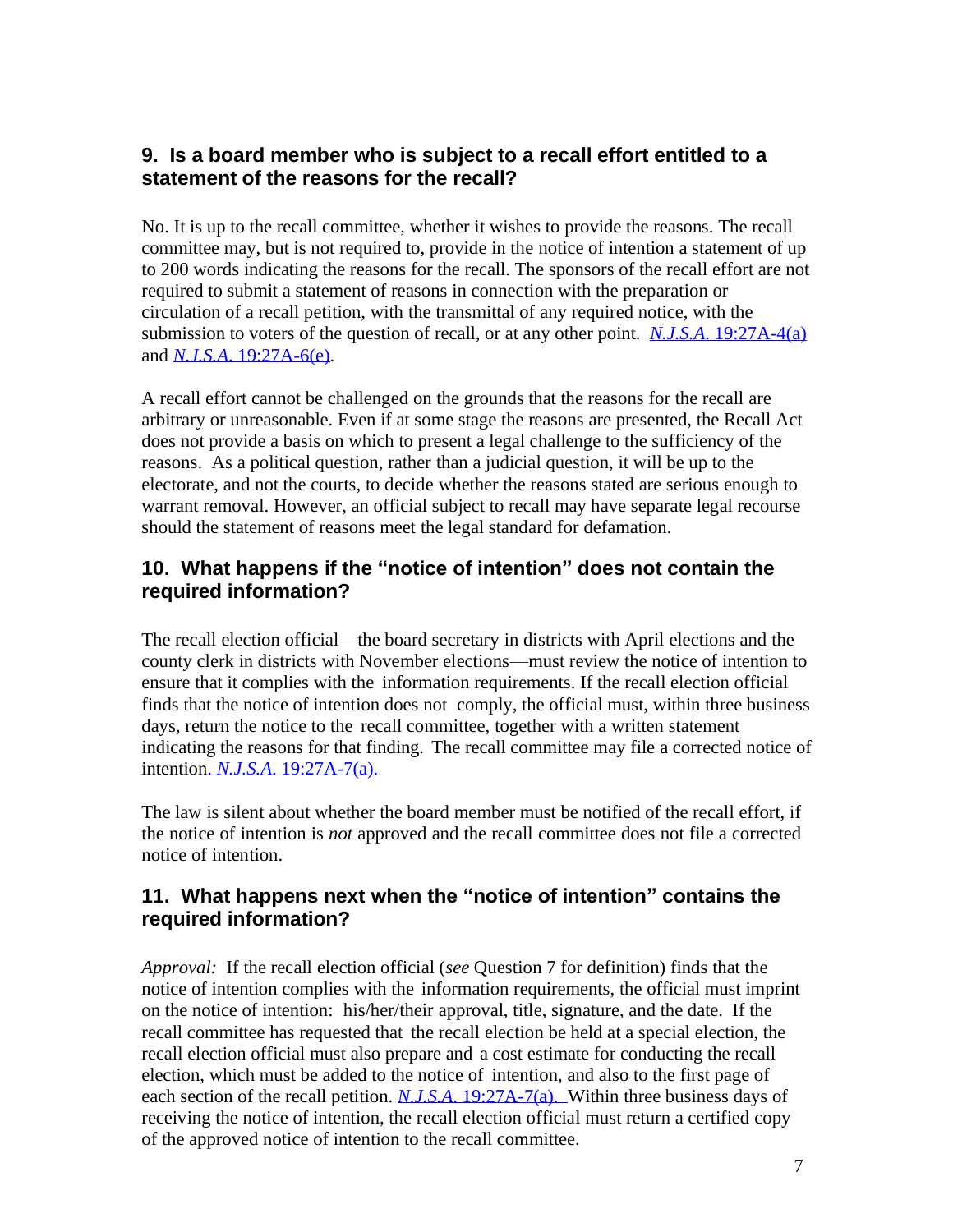## <span id="page-6-0"></span>**9. Is a board member who is subject to a recall effort entitled to a statement of the reasons for the recall?**

No. It is up to the recall committee, whether it wishes to provide the reasons. The recall committee may, but is not required to, provide in the notice of intention a statement of up to 200 words indicating the reasons for the recall. The sponsors of the recall effort are not required to submit a statement of reasons in connection with the preparation or circulation of a recall petition, with the transmittal of any required notice, with the submission to voters of the question of recall, or at any other point. *N.J.S.A*. [19:27A-4\(a\)](https://njlaw.rutgers.edu/cgi-bin/njstats/showsect.cgi?section=19%3A27A-4&actn=getsect) and *N.J.S.A*. [19:27A-6\(e\).](https://njlaw.rutgers.edu/cgi-bin/njstats/showsect.cgi?title=19&chapter=27A§ion=6&actn=getsect)

A recall effort cannot be challenged on the grounds that the reasons for the recall are arbitrary or unreasonable. Even if at some stage the reasons are presented, the Recall Act does not provide a basis on which to present a legal challenge to the sufficiency of the reasons. As a political question, rather than a judicial question, it will be up to the electorate, and not the courts, to decide whether the reasons stated are serious enough to warrant removal. However, an official subject to recall may have separate legal recourse should the statement of reasons meet the legal standard for defamation.

#### **10. What happens if the "notice of intention" does not contain the required information?**

The recall election official—the board secretary in districts with April elections and the county clerk in districts with November elections—must review the notice of intention to ensure that it complies with the information requirements. If the recall election official finds that the notice of intention does not comply, the official must, within three business days, return the notice to the recall committee, together with a written statement indicating the reasons for that finding. The recall committee may file a corrected notice of intention. *N.J.S.A*. [19:27A-7\(a\).](https://njlaw.rutgers.edu/cgi-bin/njstats/showsect.cgi?section=19%3A27A-7&actn=getsect)

The law is silent about whether the board member must be notified of the recall effort, if the notice of intention is *not* approved and the recall committee does not file a corrected notice of intention.

#### **11. What happens next when the "notice of intention" contains the required information?**

*Approval:* If the recall election official (*see* Question 7 for definition) finds that the notice of intention complies with the information requirements, the official must imprint on the notice of intention: his/her/their approval, title, signature, and the date. If the recall committee has requested that the recall election be held at a special election, the recall election official must also prepare and a cost estimate for conducting the recall election, which must be added to the notice of intention, and also to the first page of each section of the recall petition. *N.J.S.A*[. 19:27A-](https://njlaw.rutgers.edu/cgi-bin/njstats/showsect.cgi?section=19%3A27A-7&actn=getsect)[7\(a\).](http://lis.njleg.state.nj.us/cgi-bin/om_isapi.dll?clientID=150059&Depth=2&TD=WRAP&advquery=%2219%3a27A-1%22&depth=4&expandheadings=on&headingswithhits=on&hitsperheading=on&infobase=statutes.nfo&rank&record=%7b9014%7d&softpage=Doc_Frame_PG42&wordsaroundhits=2) Within three business days of receiving the notice of intention, the recall election official must return a certified copy of the approved notice of intention to the recall committee.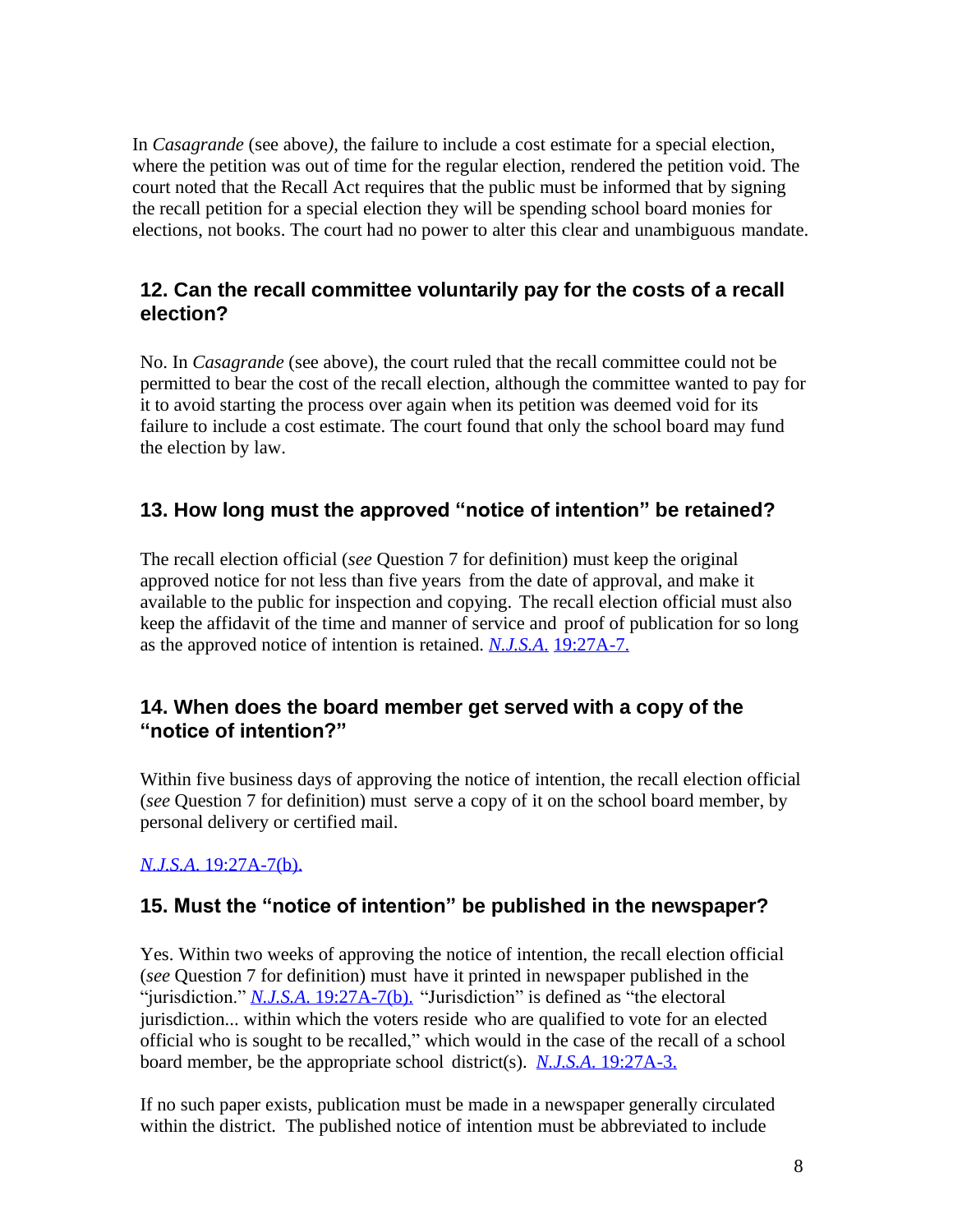<span id="page-7-0"></span>In *Casagrande* (see above*)*, the failure to include a cost estimate for a special election, where the petition was out of time for the regular election, rendered the petition void. The court noted that the Recall Act requires that the public must be informed that by signing the recall petition for a special election they will be spending school board monies for elections, not books. The court had no power to alter this clear and unambiguous mandate.

#### **12. Can the recall committee voluntarily pay for the costs of a recall election?**

No. In *Casagrande* (see above), the court ruled that the recall committee could not be permitted to bear the cost of the recall election, although the committee wanted to pay for it to avoid starting the process over again when its petition was deemed void for its failure to include a cost estimate. The court found that only the school board may fund the election by law.

## **13. How long must the approved "notice of intention" be retained?**

The recall election official (*see* Question 7 for definition) must keep the original approved notice for not less than five years from the date of approval, and make it available to the public for inspection and copying. The recall election official must also keep the affidavit of the time and manner of service and proof of publication for so long as the approved notice of intention is retained. *[N.J.S.A](https://njlaw.rutgers.edu/cgi-bin/njstats/showsect.cgi?section=19%3A27A-7&actn=getsect)*. [19:27A-7.](https://njlaw.rutgers.edu/cgi-bin/njstats/showsect.cgi?section=19%3A27A-7&actn=getsect)

#### **14. When does the board member get served with a copy of the "notice of intention?"**

Within five business days of approving the notice of intention, the recall election official (*see* Question 7 for definition) must serve a copy of it on the school board member, by personal delivery or certified mail.

#### *N.J.S.A*. [19:27A-7\(b\).](https://njlaw.rutgers.edu/cgi-bin/njstats/showsect.cgi?section=19%3A27A-7&actn=getsect)

## **15. Must the "notice of intention" be published in the newspaper?**

Yes. Within two weeks of approving the notice of intention, the recall election official (*see* Question 7 for definition) must have it printed in newspaper published in the "jurisdiction." *N.J.S.A*. [19:27A-7\(b\).](https://njlaw.rutgers.edu/cgi-bin/njstats/showsect.cgi?section=19%3A27A-7&actn=getsect) "Jurisdiction" is defined as "the electoral jurisdiction... within which the voters reside who are qualified to vote for an elected official who is sought to be recalled," which would in the case of the recall of a school board member, be the appropriate school district(s). *N.J.S.A*. [19:27A-3.](https://njlaw.rutgers.edu/cgi-bin/njstats/showsect.cgi?section=19%3A27A-3&actn=getsect)

If no such paper exists, publication must be made in a newspaper generally circulated within the district. The published notice of intention must be abbreviated to include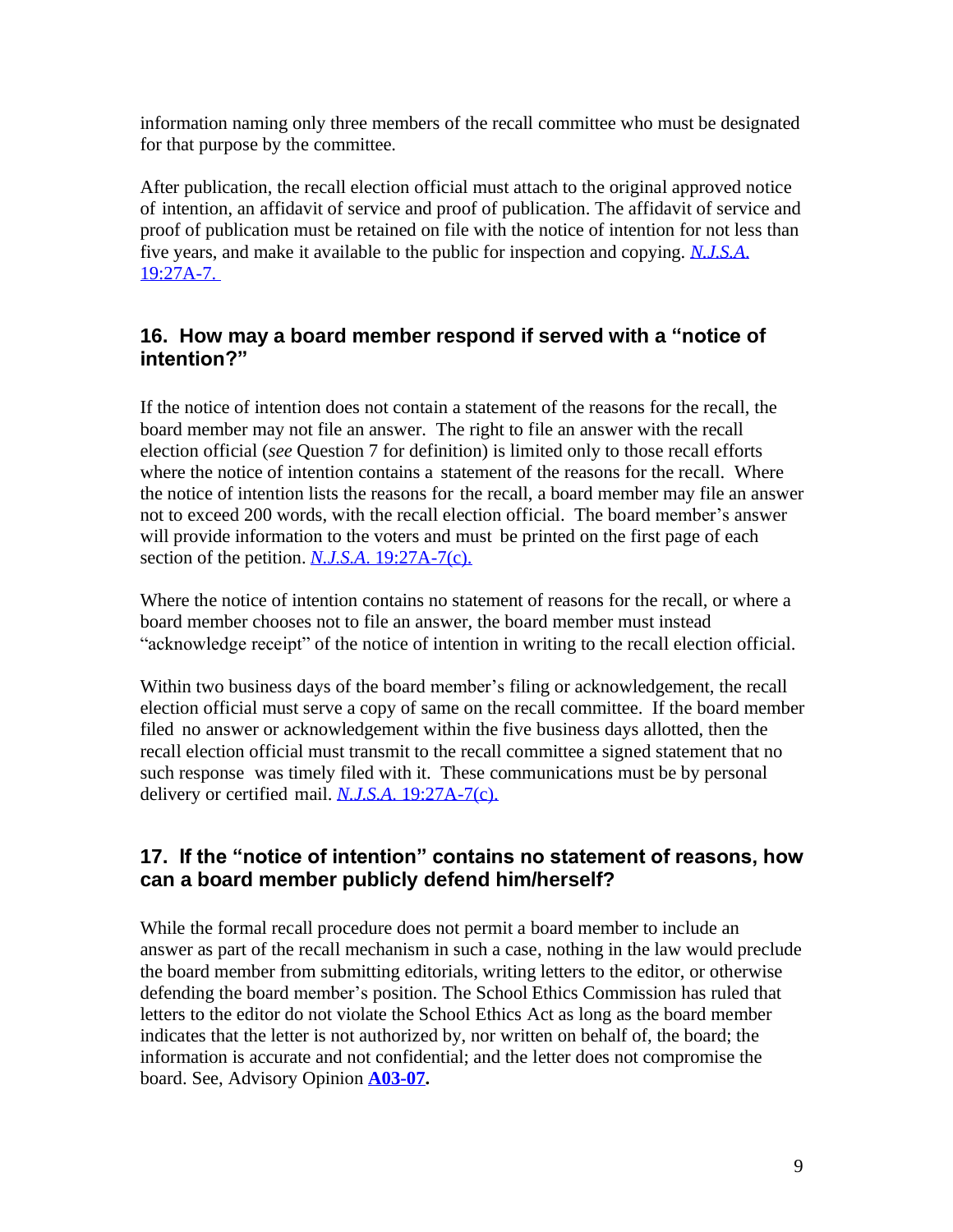<span id="page-8-0"></span>information naming only three members of the recall committee who must be designated for that purpose by the committee.

After publication, the recall election official must attach to the original approved notice of intention, an affidavit of service and proof of publication. The affidavit of service and proof of publication must be retained on file with the notice of intention for not less than five years, and make it available to the public for inspection and copying. *[N.J.S.A](http://lis.njleg.state.nj.us/cgi-bin/om_isapi.dll?clientID=194050&Depth=2&TD=WRAP&advquery=%2219%3a27A-1%22&depth=4&expandheadings=on&headingswithhits=on&hitsperheading=on&infobase=statutes.nfo&rank&record=%7b9008%7d&softpage=Document42&wordsaroundhits=2)*. [19:27A-7.](https://njlaw.rutgers.edu/cgi-bin/njstats/showsect.cgi?section=19%3A27A-7&actn=getsect) 

#### **16. How may a board member respond if served with a "notice of intention?"**

If the notice of intention does not contain a statement of the reasons for the recall, the board member may not file an answer. The right to file an answer with the recall election official (*see* Question 7 for definition) is limited only to those recall efforts where the notice of intention contains a statement of the reasons for the recall. Where the notice of intention lists the reasons for the recall, a board member may file an answer not to exceed 200 words, with the recall election official. The board member's answer will provide information to the voters and must be printed on the first page of each section of the petition. *N.J.S.A*. [19:27A-7\(c\).](https://njlaw.rutgers.edu/cgi-bin/njstats/showsect.cgi?section=19%3A27A-7&actn=getsect)

Where the notice of intention contains no statement of reasons for the recall, or where a board member chooses not to file an answer, the board member must instead "acknowledge receipt" of the notice of intention in writing to the recall election official.

Within two business days of the board member's filing or acknowledgement, the recall election official must serve a copy of same on the recall committee. If the board member filed no answer or acknowledgement within the five business days allotted, then the recall election official must transmit to the recall committee a signed statement that no such response was timely filed with it. These communications must be by personal delivery or certified mail. *N.J.S.A*. [19:27A-7\(c\).](https://njlaw.rutgers.edu/cgi-bin/njstats/showsect.cgi?section=19%3A27A-7&actn=getsect)

## **17. If the "notice of intention" contains no statement of reasons, how can a board member publicly defend him/herself?**

While the formal recall procedure does not permit a board member to include an answer as part of the recall mechanism in such a case, nothing in the law would preclude the board member from submitting editorials, writing letters to the editor, or otherwise defending the board member's position. The School Ethics Commission has ruled that letters to the editor do not violate the School Ethics Act as long as the board member indicates that the letter is not authorized by, nor written on behalf of, the board; the information is accurate and not confidential; and the letter does not compromise the board. See, Advisory Opinion **[A03-07.](https://www.nj.gov/education/legal/ethics/advisory/cat5/a03-07.pdf)**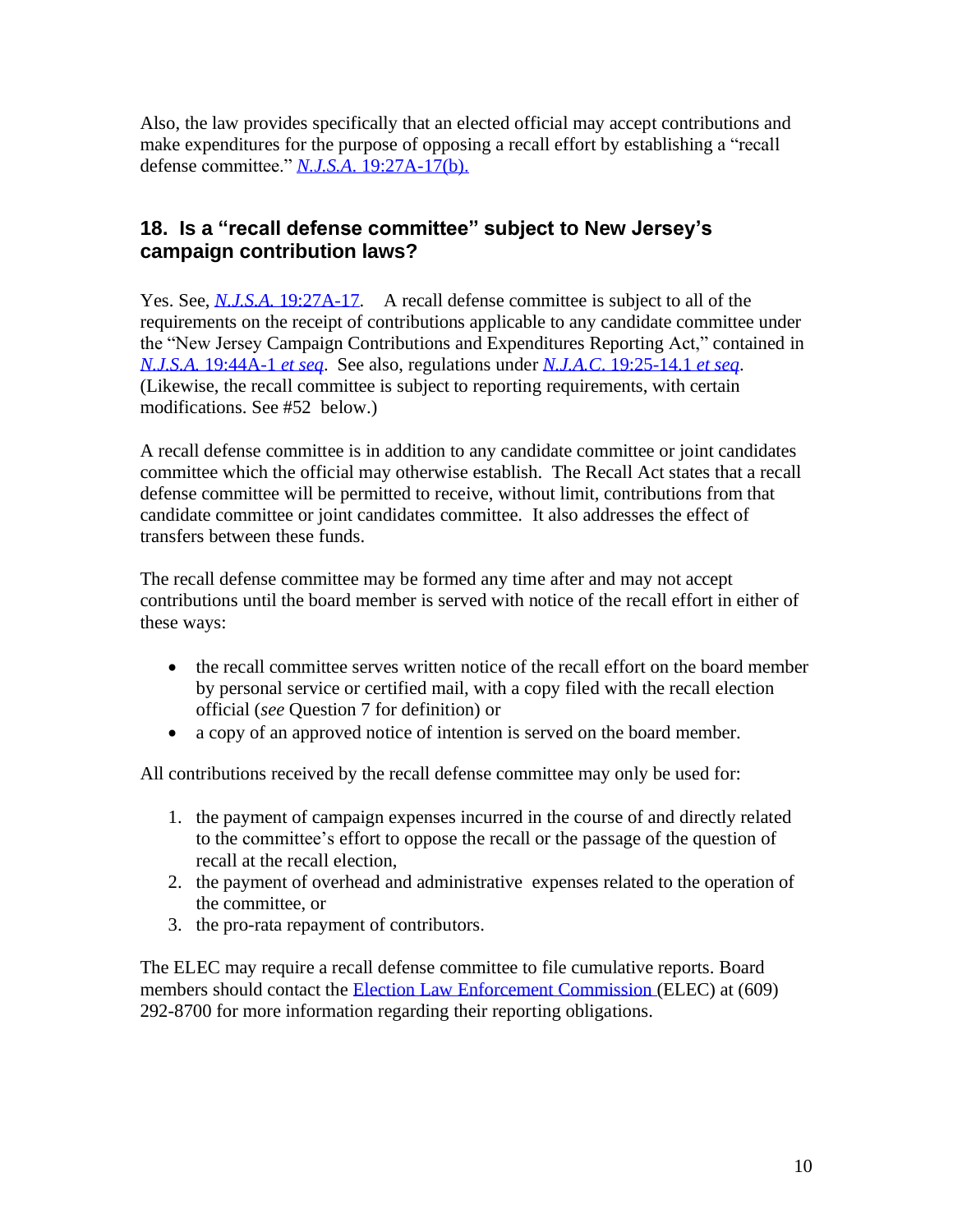<span id="page-9-0"></span>Also, the law provides specifically that an elected official may accept contributions and make expenditures for the purpose of opposing a recall effort by establishing a "recall defense committee." *N.J.S.A*. [19:27A-17\(b\).](https://njlaw.rutgers.edu/cgi-bin/njstats/showsect.cgi?section=19%3A27A-17&actn=getsect)

## **18. Is a "recall defense committee" subject to New Jersey's campaign contribution laws?**

Yes. See, *N.J.S.A.* [19:27A-17.](https://njlaw.rutgers.edu/cgi-bin/njstats/showsect.cgi?section=19%3A27A-17&actn=getsect) A recall defense committee is subject to all of the requirements on the receipt of contributions applicable to any candidate committee under the "New Jersey Campaign Contributions and Expenditures Reporting Act," contained in *N.J.S.A.* [19:44A-1](https://njlaw.rutgers.edu/cgi-bin/njstats/showsect.cgi?section=19%3A44A-1&actn=getsect) *et seq*. See also, regulations under *N.J.A.C*. [19:25-14.1](https://advance.lexis.com/documentpage/?pdmfid=1000516&crid=e8f8db6a-48cf-41dc-9cd3-0d489e2d0abb&nodeid=ABBAAIAABAAPAAB&nodepath=%2FROOT%2FABB%2FABBAAI%2FABBAAIAAB%2FABBAAIAABAAP%2FABBAAIAABAAPAAB&level=5&haschildren=&populated=false&title=%C2%A7+19%3A25-14.1+Definitions&config=00JAA1YTg5OGJlYi04MTI4LTRlNjQtYTc4Yi03NTQxN2E5NmE0ZjQKAFBvZENhdGFsb2ftaXPxZTR7bRPtX1Jok9kz&pddocfullpath=%2Fshared%2Fdocument%2Fadministrative-codes%2Furn%3AcontentItem%3A5XKV-PWC1-JTGH-B22C-00008-00&ecomp=d38_kkk&prid=1d43a82e-0aae-411b-80c3-6a9c70f4cfa0) *et seq*. (Likewise, the recall committee is subject to reporting requirements, with certain modifications. See #52 below.)

A recall defense committee is in addition to any candidate committee or joint candidates committee which the official may otherwise establish. The Recall Act states that a recall defense committee will be permitted to receive, without limit, contributions from that candidate committee or joint candidates committee. It also addresses the effect of transfers between these funds.

The recall defense committee may be formed any time after and may not accept contributions until the board member is served with notice of the recall effort in either of these ways:

- the recall committee serves written notice of the recall effort on the board member by personal service or certified mail, with a copy filed with the recall election official (*see* Question 7 for definition) or
- a copy of an approved notice of intention is served on the board member.

All contributions received by the recall defense committee may only be used for:

- 1. the payment of campaign expenses incurred in the course of and directly related to the committee's effort to oppose the recall or the passage of the question of recall at the recall election,
- 2. the payment of overhead and administrative expenses related to the operation of the committee, or
- 3. the pro-rata repayment of contributors.

The ELEC may require a recall defense committee to file cumulative reports. Board members should contact the Election [Law Enforcement](http://www.elec.state.nj.us/) Commission (ELEC) at (609) 292-8700 for more information regarding their reporting obligations.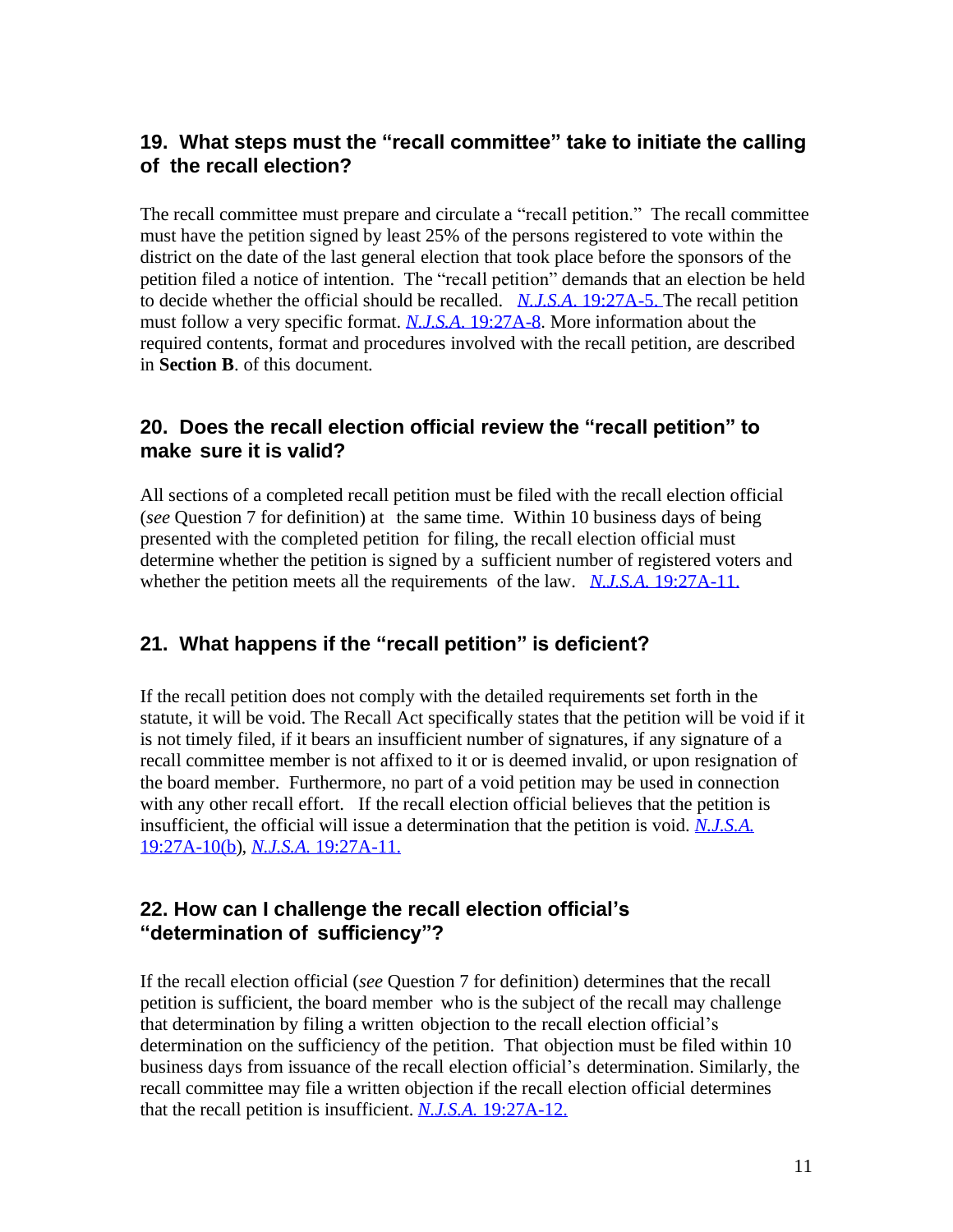#### <span id="page-10-0"></span>**19. What steps must the "recall committee" take to initiate the calling of the recall election?**

The recall committee must prepare and circulate a "recall petition." The recall committee must have the petition signed by least 25% of the persons registered to vote within the district on the date of the last general election that took place before the sponsors of the petition filed a notice of intention. The "recall petition" demands that an election be held to decide whether the official should be recalled. *N.J.S.A*. [19:27A-5. T](https://njlaw.rutgers.edu/cgi-bin/njstats/showsect.cgi?section=19%3A27A-5&actn=getsect)he recall petition must follow a very specific format. *N.J.S.A*[. 19:27A-8.](https://njlaw.rutgers.edu/cgi-bin/njstats/showsect.cgi?section=19%3A27A-8&actn=getsect) More information about the required contents, format and procedures involved with the recall petition, are described in **Section B**. of this document.

#### **20. Does the recall election official review the "recall petition" to make sure it is valid?**

All sections of a completed recall petition must be filed with the recall election official (*see* Question 7 for definition) at the same time. Within 10 business days of being presented with the completed petition for filing, the recall election official must determine whether the petition is signed by a sufficient number of registered voters and whether the petition meets all the requirements of the law. *N.J.S.A.* [19:27A-11.](https://njlaw.rutgers.edu/cgi-bin/njstats/showsect.cgi?section=19%3A27A-11&actn=getsect)

## **21. What happens if the "recall petition" is deficient?**

If the recall petition does not comply with the detailed requirements set forth in the statute, it will be void. The Recall Act specifically states that the petition will be void if it is not timely filed, if it bears an insufficient number of signatures, if any signature of a recall committee member is not affixed to it or is deemed invalid, or upon resignation of the board member. Furthermore, no part of a void petition may be used in connection with any other recall effort. If the recall election official believes that the petition is insufficient, the official will issue a determination that the petition is void. *[N.J.S.A.](http://lis.njleg.state.nj.us/cgi-bin/om_isapi.dll?clientID=39406706&Depth=4&TD=WRAP&advquery=%2219%3a27A-1%22&headingswithhits=on&infobase=statutes.nfo&rank&record=%7b9014%7d&softpage=Doc_Frame_Pg42&wordsaroundhits=2&x=51&y=21&zz)* [19:27A-10\(b\)](https://njlaw.rutgers.edu/cgi-bin/njstats/showsect.cgi?title=19&chapter=27A§ion=10&actn=getsect), *N.J.S.A.* [19:27A-11.](https://njlaw.rutgers.edu/cgi-bin/njstats/showsect.cgi?title=19&chapter=27A§ion=11&actn=getsect)

#### **22. How can I challenge the recall election official's "determination of sufficiency"?**

If the recall election official (*see* Question 7 for definition) determines that the recall petition is sufficient, the board member who is the subject of the recall may challenge that determination by filing a written objection to the recall election official's determination on the sufficiency of the petition. That objection must be filed within 10 business days from issuance of the recall election official's determination. Similarly, the recall committee may file a written objection if the recall election official determines that the recall petition is insufficient. *N.J.S.A.* [19:27A-12.](https://njlaw.rutgers.edu/cgi-bin/njstats/showsect.cgi?title=19&chapter=27A§ion=12&actn=getsect)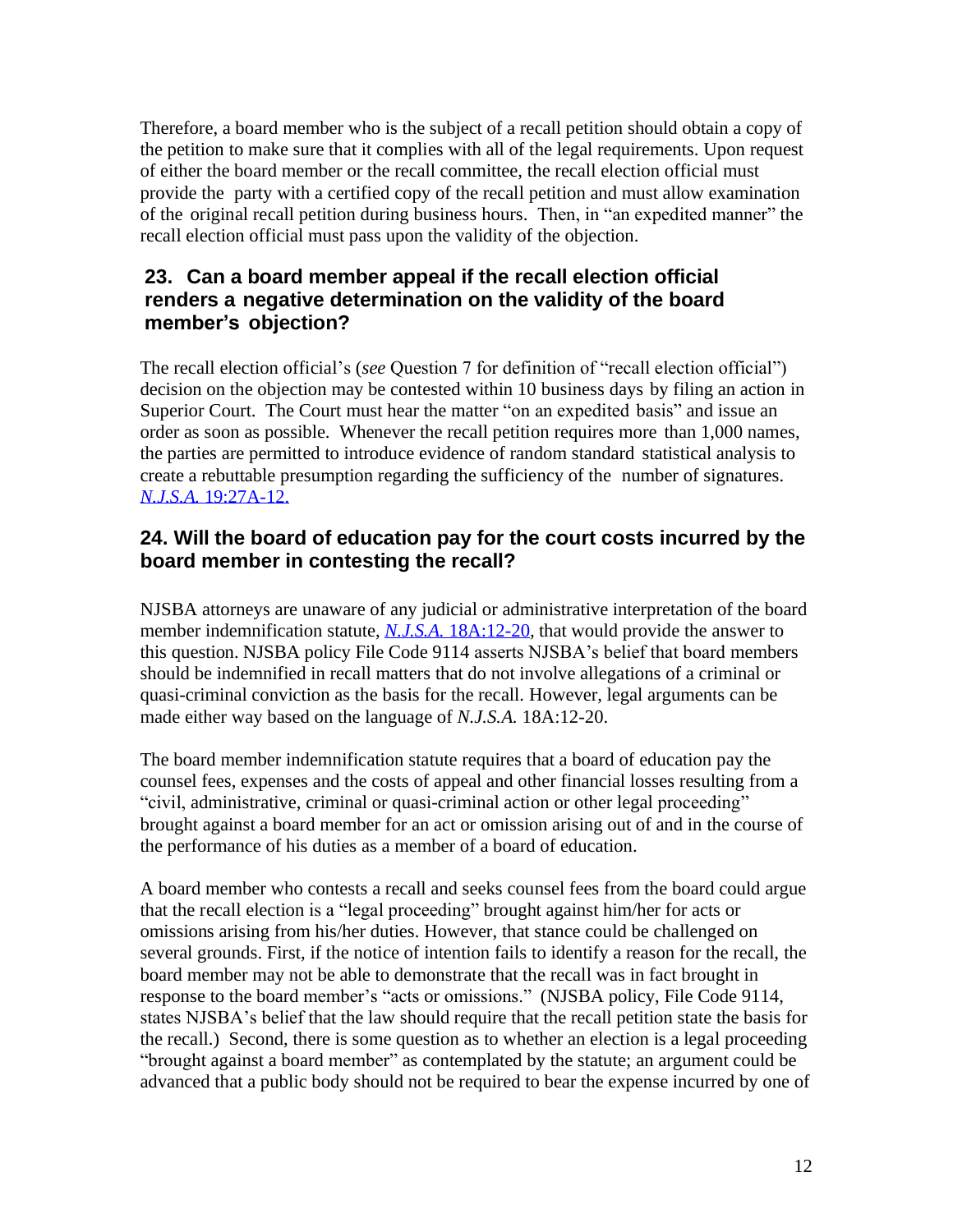<span id="page-11-0"></span>Therefore, a board member who is the subject of a recall petition should obtain a copy of the petition to make sure that it complies with all of the legal requirements. Upon request of either the board member or the recall committee, the recall election official must provide the party with a certified copy of the recall petition and must allow examination of the original recall petition during business hours. Then, in "an expedited manner" the recall election official must pass upon the validity of the objection.

#### **23. Can a board member appeal if the recall election official renders a negative determination on the validity of the board member's objection?**

The recall election official's (*see* Question 7 for definition of "recall election official") decision on the objection may be contested within 10 business days by filing an action in Superior Court. The Court must hear the matter "on an expedited basis" and issue an order as soon as possible. Whenever the recall petition requires more than 1,000 names, the parties are permitted to introduce evidence of random standard statistical analysis to create a rebuttable presumption regarding the sufficiency of the number of signatures. *N.J.S.A.* [19:27A-12.](https://njlaw.rutgers.edu/cgi-bin/njstats/showsect.cgi?title=19&chapter=27A§ion=12&actn=getsect)

#### **24. Will the board of education pay for the court costs incurred by the board member in contesting the recall?**

NJSBA attorneys are unaware of any judicial or administrative interpretation of the board member indemnification statute, *N.J.S.A.* [18A:12-20](https://njlaw.rutgers.edu/cgi-bin/njstats/showsect.cgi?section=18A%3A12-20&actn=getsect), that would provide the answer to this question. NJSBA policy File Code 9114 asserts NJSBA's belief that board members should be indemnified in recall matters that do not involve allegations of a criminal or quasi-criminal conviction as the basis for the recall. However, legal arguments can be made either way based on the language of *N.J.S.A.* 18A:12-20.

The board member indemnification statute requires that a board of education pay the counsel fees, expenses and the costs of appeal and other financial losses resulting from a "civil, administrative, criminal or quasi-criminal action or other legal proceeding" brought against a board member for an act or omission arising out of and in the course of the performance of his duties as a member of a board of education.

A board member who contests a recall and seeks counsel fees from the board could argue that the recall election is a "legal proceeding" brought against him/her for acts or omissions arising from his/her duties. However, that stance could be challenged on several grounds. First, if the notice of intention fails to identify a reason for the recall, the board member may not be able to demonstrate that the recall was in fact brought in response to the board member's "acts or omissions." (NJSBA policy, File Code 9114, states NJSBA's belief that the law should require that the recall petition state the basis for the recall.) Second, there is some question as to whether an election is a legal proceeding "brought against a board member" as contemplated by the statute; an argument could be advanced that a public body should not be required to bear the expense incurred by one of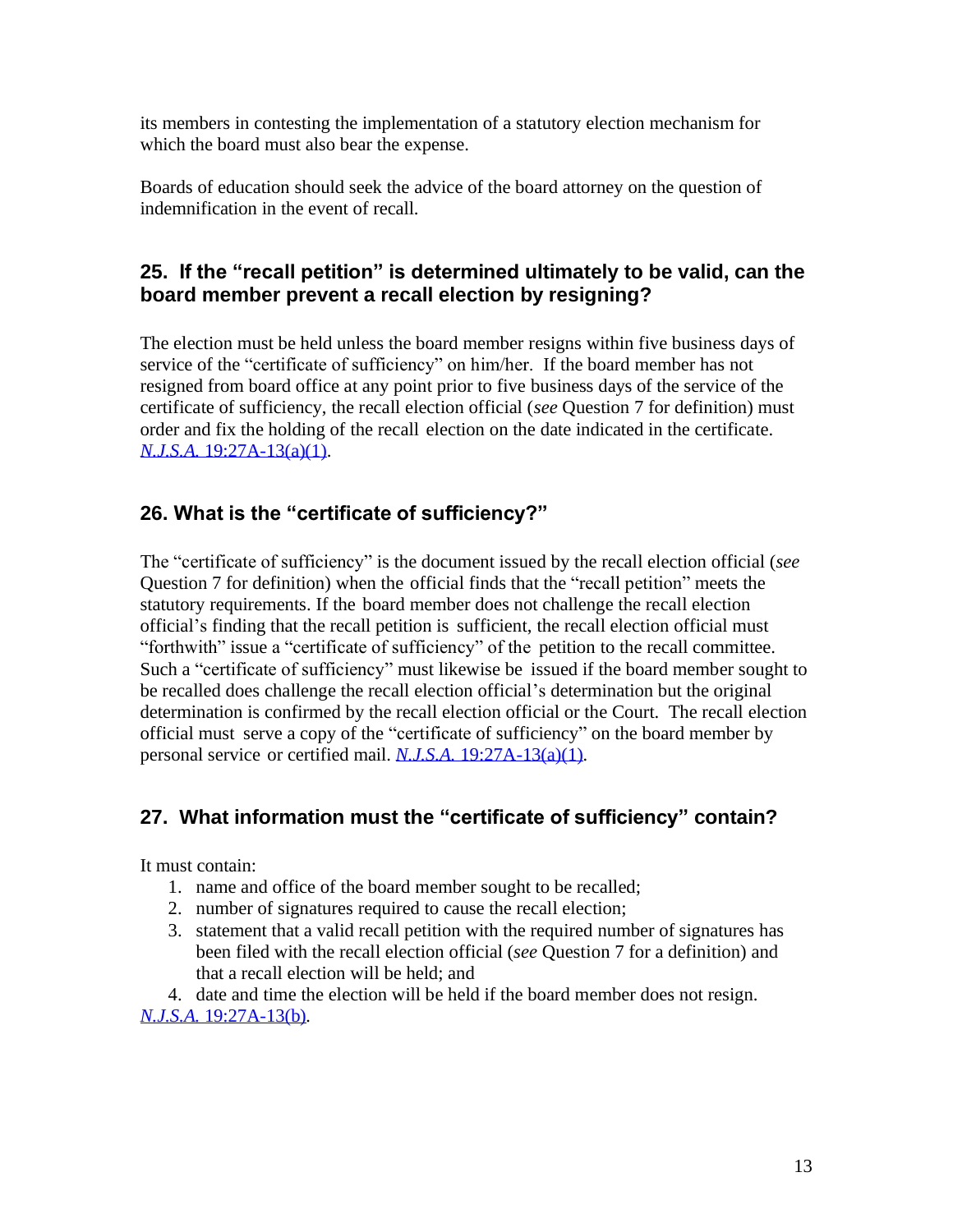<span id="page-12-0"></span>its members in contesting the implementation of a statutory election mechanism for which the board must also bear the expense.

Boards of education should seek the advice of the board attorney on the question of indemnification in the event of recall.

## **25. If the "recall petition" is determined ultimately to be valid, can the board member prevent a recall election by resigning?**

The election must be held unless the board member resigns within five business days of service of the "certificate of sufficiency" on him/her. If the board member has not resigned from board office at any point prior to five business days of the service of the certificate of sufficiency, the recall election official (*see* Question 7 for definition) must order and fix the holding of the recall election on the date indicated in the certificate. *N.J.S.A.* [19:27A-13\(a\)\(1\).](https://njlaw.rutgers.edu/cgi-bin/njstats/showsect.cgi?section=19%3A27A-13&actn=getsect)

## **26. What is the "certificate of sufficiency?"**

The "certificate of sufficiency" is the document issued by the recall election official (*see* Question 7 for definition) when the official finds that the "recall petition" meets the statutory requirements. If the board member does not challenge the recall election official's finding that the recall petition is sufficient, the recall election official must "forthwith" issue a "certificate of sufficiency" of the petition to the recall committee. Such a "certificate of sufficiency" must likewise be issued if the board member sought to be recalled does challenge the recall election official's determination but the original determination is confirmed by the recall election official or the Court. The recall election official must serve a copy of the "certificate of sufficiency" on the board member by personal service or certified mail. *N.J.S.A.* [19:27A-13\(a\)\(1\)](https://njlaw.rutgers.edu/cgi-bin/njstats/showsect.cgi?section=19%3A27A-13&actn=getsect)*.*

# **27. What information must the "certificate of sufficiency" contain?**

It must contain:

- 1. name and office of the board member sought to be recalled;
- 2. number of signatures required to cause the recall election;
- 3. statement that a valid recall petition with the required number of signatures has been filed with the recall election official (*see* Question 7 for a definition) and that a recall election will be held; and
- 4. date and time the election will be held if the board member does not resign.

*N.J.S.A.* [19:27A-13\(b\)](https://njlaw.rutgers.edu/cgi-bin/njstats/showsect.cgi?section=19%3A27A-13&actn=getsect)*.*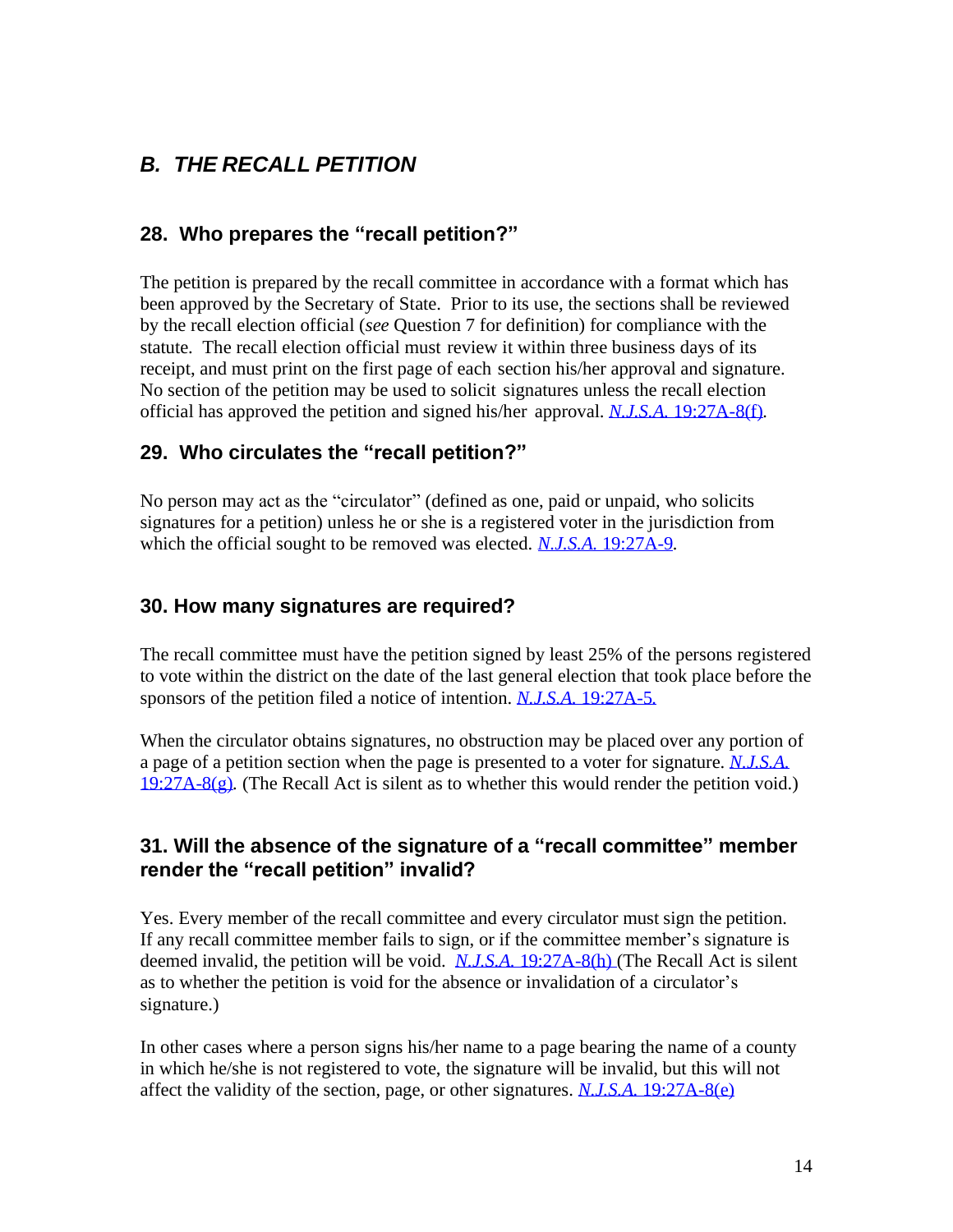# <span id="page-13-0"></span>*B. THE RECALL PETITION*

#### **28. Who prepares the "recall petition?"**

The petition is prepared by the recall committee in accordance with a format which has been approved by the Secretary of State. Prior to its use, the sections shall be reviewed by the recall election official (*see* Question 7 for definition) for compliance with the statute. The recall election official must review it within three business days of its receipt, and must print on the first page of each section his/her approval and signature. No section of the petition may be used to solicit signatures unless the recall election official has approved the petition and signed his/her approval. *N.J.S.A.* [19:27A-8\(f\)](https://njlaw.rutgers.edu/cgi-bin/njstats/showsect.cgi?title=19&chapter=27A§ion=8&actn=getsect)*.*

#### **29. Who circulates the "recall petition?"**

No person may act as the "circulator" (defined as one, paid or unpaid, who solicits signatures for a petition) unless he or she is a registered voter in the jurisdiction from which the official sought to be removed was elected. *N.J.S.A.* [19:27A-9](https://njlaw.rutgers.edu/cgi-bin/njstats/showsect.cgi?title=19&chapter=27A§ion=9&actn=getsect)*.*

#### **30. How many signatures are required?**

The recall committee must have the petition signed by least 25% of the persons registered to vote within the district on the date of the last general election that took place before the sponsors of the petition filed a notice of intention. *N.J.S.A.* [19:27A-5](https://njlaw.rutgers.edu/cgi-bin/njstats/showsect.cgi?section=19%3A27A-5&actn=getsect)*.*

When the circulator obtains signatures, no obstruction may be placed over any portion of a page of a petition section when the page is presented to a voter for signature. *[N.J.S.A.](http://lis.njleg.state.nj.us/cgi-bin/om_isapi.dll?clientID=39408893&Depth=4&TD=WRAP&advquery=%2219%3a27A-1%22&headingswithhits=on&infobase=statutes.nfo&rank&record=%7b902C%7d&softpage=Document42&wordsaroundhits=2&x=33&y=16&zz)* [19:27A-8\(g\)](https://njlaw.rutgers.edu/cgi-bin/njstats/showsect.cgi?section=19%3A27A-8&actn=getsect)*.* (The Recall Act is silent as to whether this would render the petition void.)

#### **31. Will the absence of the signature of a "recall committee" member render the "recall petition" invalid?**

Yes. Every member of the recall committee and every circulator must sign the petition. If any recall committee member fails to sign, or if the committee member's signature is deemed invalid, the petition will be void. *N.J.S.A.* [19:27A-8\(h\)](https://njlaw.rutgers.edu/cgi-bin/njstats/showsect.cgi?section=19%3A27A-8&actn=getsect) (The Recall Act is silent as to whether the petition is void for the absence or invalidation of a circulator's signature.)

In other cases where a person signs his/her name to a page bearing the name of a county in which he/she is not registered to vote, the signature will be invalid, but this will not affect the validity of the section, page, or other signatures. *N.J.S.A.* [19:27A-8\(e\)](https://njlaw.rutgers.edu/cgi-bin/njstats/showsect.cgi?section=19%3A27A-8&actn=getsect)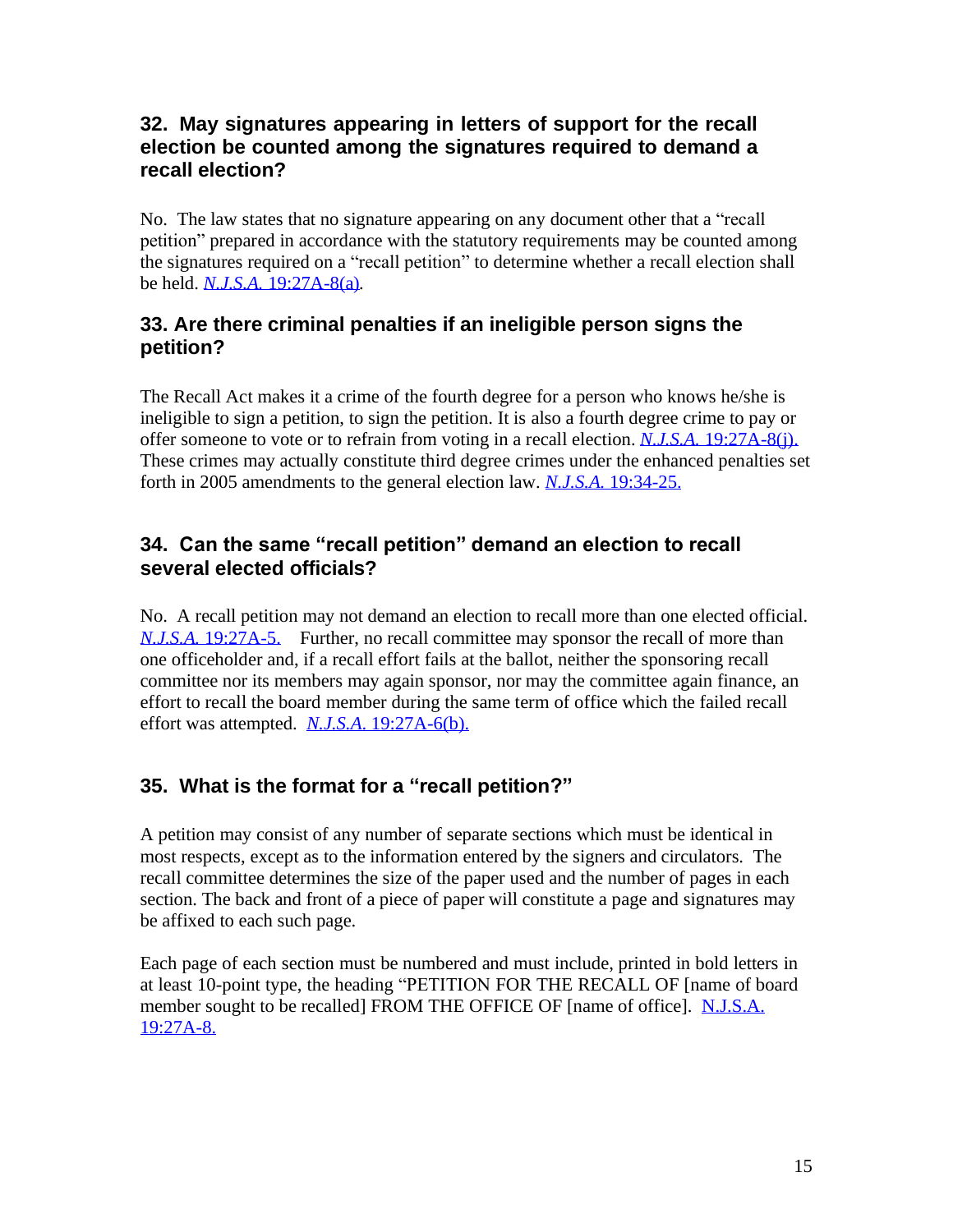#### <span id="page-14-0"></span>**32. May signatures appearing in letters of support for the recall election be counted among the signatures required to demand a recall election?**

No. The law states that no signature appearing on any document other that a "recall petition" prepared in accordance with the statutory requirements may be counted among the signatures required on a "recall petition" to determine whether a recall election shall be held. *N.J.S.A.* [19:27A-8\(a\)](https://njlaw.rutgers.edu/cgi-bin/njstats/showsect.cgi?section=19%3A27A-8&actn=getsect)*.*

## **33. Are there criminal penalties if an ineligible person signs the petition?**

The Recall Act makes it a crime of the fourth degree for a person who knows he/she is ineligible to sign a petition, to sign the petition. It is also a fourth degree crime to pay or offer someone to vote or to refrain from voting in a recall election. *N.J.S.A.* [19:27A-8\(j\).](https://njlaw.rutgers.edu/cgi-bin/njstats/showsect.cgi?section=19%3A27A-8&actn=getsect) These crimes may actually constitute third degree crimes under the enhanced penalties set forth in 2005 amendments to the general election law. *N.J.S.A.* [19:34-25.](https://njlaw.rutgers.edu/cgi-bin/njstats/showsect.cgi?section=19%3A34-35&actn=getsect)

#### **34. Can the same "recall petition" demand an election to recall several elected officials?**

No. A recall petition may not demand an election to recall more than one elected official. *N.J.S.A.* [19:27A-5.](https://njlaw.rutgers.edu/cgi-bin/njstats/showsect.cgi?section=19%3A27A-5&actn=getsect) Further, no recall committee may sponsor the recall of more than one officeholder and, if a recall effort fails at the ballot, neither the sponsoring recall committee nor its members may again sponsor, nor may the committee again finance, an effort to recall the board member during the same term of office which the failed recall effort was attempted. *N.J.S.A*. [19:27A-6\(b\).](https://njlaw.rutgers.edu/cgi-bin/njstats/showsect.cgi?title=19&chapter=27A§ion=6&actn=getsect)

# **35. What is the format for a "recall petition?"**

A petition may consist of any number of separate sections which must be identical in most respects, except as to the information entered by the signers and circulators. The recall committee determines the size of the paper used and the number of pages in each section. The back and front of a piece of paper will constitute a page and signatures may be affixed to each such page.

Each page of each section must be numbered and must include, printed in bold letters in at least 10-point type, the heading "PETITION FOR THE RECALL OF [name of board member sought to be recalled] FROM THE OFFICE OF [name of office]. [N.J.S.A.](http://lis.njleg.state.nj.us/cgi-bin/om_isapi.dll?clientID=195475&Depth=4&TD=WRAP&advquery=%2219%3a27A-6%22&headingswithhits=on&infobase=statutes.nfo&rank&record=%7b900A%7d&softpage=Document42&wordsaroundhits=2&x=40&y=12&zz) [19:27A-8.](https://njlaw.rutgers.edu/cgi-bin/njstats/showsect.cgi?section=19%3A27A-8&actn=getsect)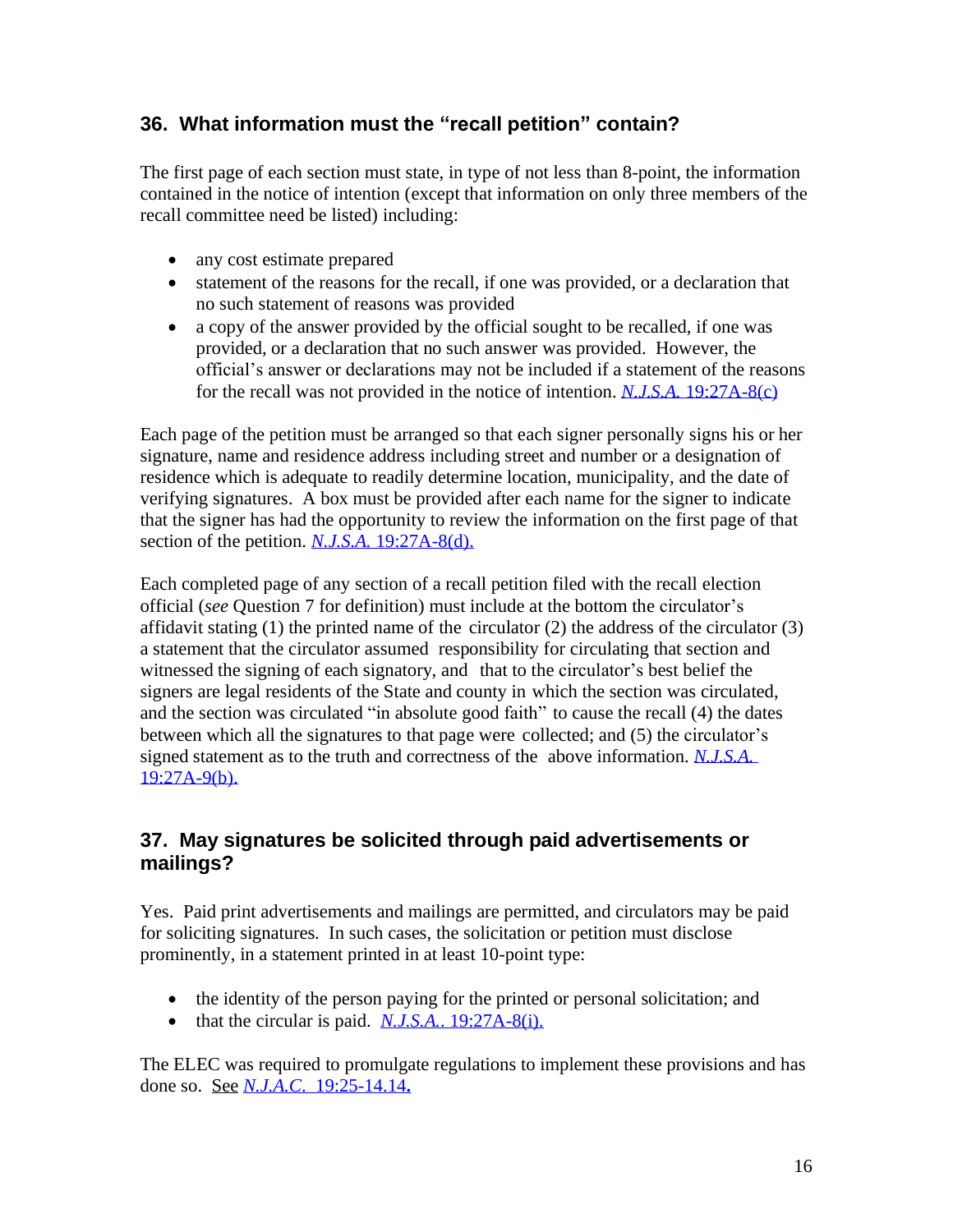# <span id="page-15-0"></span>**36. What information must the "recall petition" contain?**

The first page of each section must state, in type of not less than 8-point, the information contained in the notice of intention (except that information on only three members of the recall committee need be listed) including:

- any cost estimate prepared
- statement of the reasons for the recall, if one was provided, or a declaration that no such statement of reasons was provided
- a copy of the answer provided by the official sought to be recalled, if one was provided, or a declaration that no such answer was provided. However, the official's answer or declarations may not be included if a statement of the reasons for the recall was not provided in the notice of intention. *N.J.S.A.* [19:27A-8\(c\)](https://njlaw.rutgers.edu/cgi-bin/njstats/showsect.cgi?section=19%3A27A-8&actn=getsect)

Each page of the petition must be arranged so that each signer personally signs his or her signature, name and residence address including street and number or a designation of residence which is adequate to readily determine location, municipality, and the date of verifying signatures. A box must be provided after each name for the signer to indicate that the signer has had the opportunity to review the information on the first page of that section of the petition. *N.J.S.A.* [19:27A-8\(d\).](https://njlaw.rutgers.edu/cgi-bin/njstats/showsect.cgi?section=19%3A27A-8&actn=getsect)

Each completed page of any section of a recall petition filed with the recall election official (*see* Question 7 for definition) must include at the bottom the circulator's affidavit stating  $(1)$  the printed name of the circulator  $(2)$  the address of the circulator  $(3)$ a statement that the circulator assumed responsibility for circulating that section and witnessed the signing of each signatory, and that to the circulator's best belief the signers are legal residents of the State and county in which the section was circulated, and the section was circulated "in absolute good faith" to cause the recall (4) the dates between which all the signatures to that page were collected; and (5) the circulator's signed statement as to the truth and correctness of the above information. *[N.J.S.A.](https://njlaw.rutgers.edu/cgi-bin/njstats/showsect.cgi?section=19%3A27A-9&actn=getsect)* [19:27A-9\(b\).](https://njlaw.rutgers.edu/cgi-bin/njstats/showsect.cgi?section=19%3A27A-9&actn=getsect)

## **37. May signatures be solicited through paid advertisements or mailings?**

Yes. Paid print advertisements and mailings are permitted, and circulators may be paid for soliciting signatures. In such cases, the solicitation or petition must disclose prominently, in a statement printed in at least 10-point type:

- the identity of the person paying for the printed or personal solicitation; and
- that the circular is paid. *N.J.S.A.*. [19:27A-8\(i\).](https://njlaw.rutgers.edu/cgi-bin/njstats/showsect.cgi?section=19%3A27A-8&actn=getsect)

The ELEC was required to promulgate regulations to implement these provisions and has done so. See *N.J.A.C*[. 19:25-14.14](https://advance.lexis.com/documentpage/?pdmfid=1000516&crid=29721565-a263-4dc6-8ee2-2e2ed7e23487&nodeid=ABBAAIAABAAPAAO&nodepath=%2FROOT%2FABB%2FABBAAI%2FABBAAIAAB%2FABBAAIAABAAP%2FABBAAIAABAAPAAO&level=5&haschildren=&populated=false&title=%C2%A7+19%3A25-14.14+Identification+of+paid+circulator&indicator=true&config=00JAA1YTg5OGJlYi04MTI4LTRlNjQtYTc4Yi03NTQxN2E5NmE0ZjQKAFBvZENhdGFsb2ftaXPxZTR7bRPtX1Jok9kz&pddocfullpath=%2Fshared%2Fdocument%2Fadministrative-codes%2Furn%3AcontentItem%3A5XKV-PW71-JBDT-B10F-00008-00&ecomp=d38_kkk&prid=2e7ab792-3e0e-4b59-b15a-dcd85469774b)**.**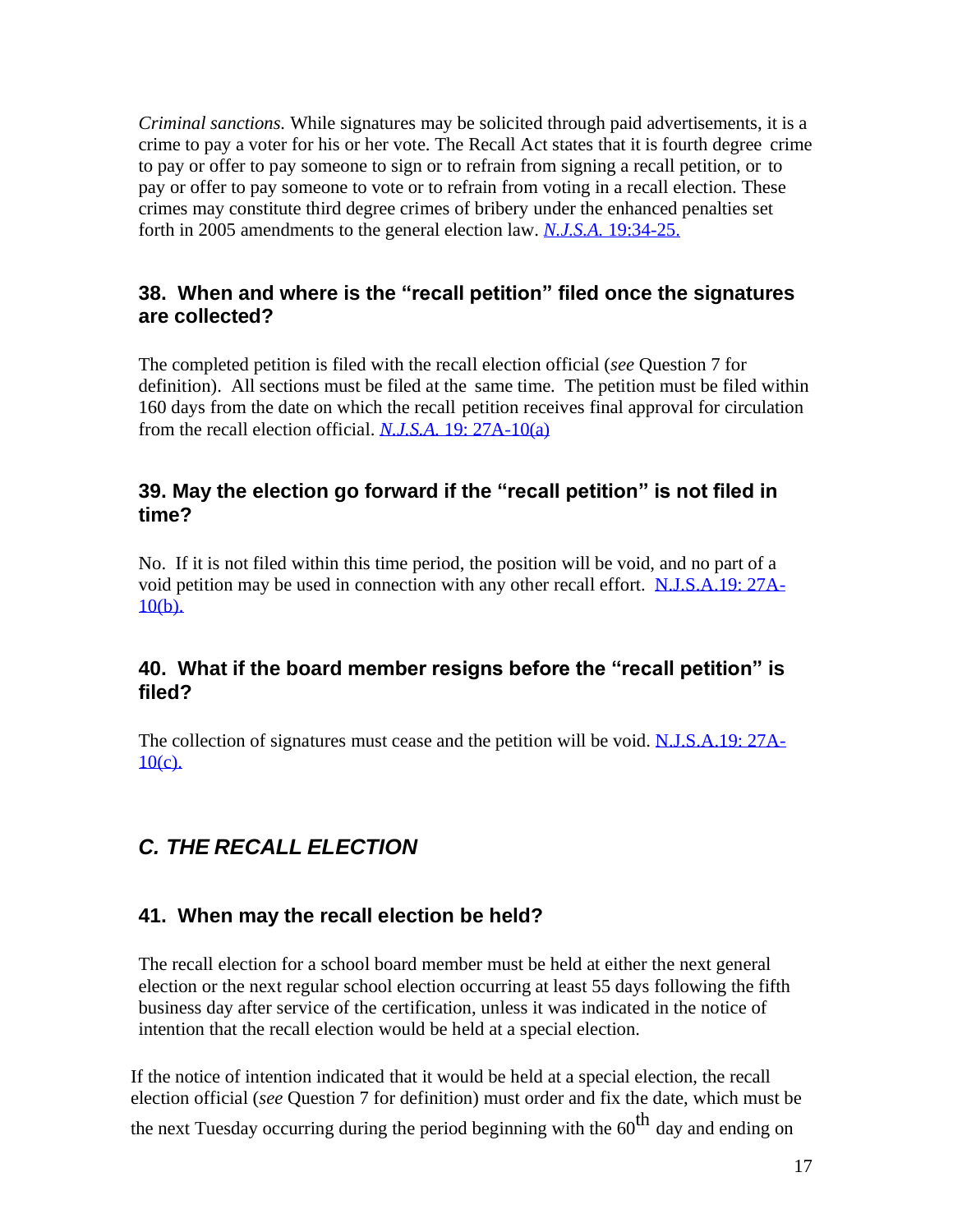<span id="page-16-0"></span>*Criminal sanctions.* While signatures may be solicited through paid advertisements, it is a crime to pay a voter for his or her vote. The Recall Act states that it is fourth degree crime to pay or offer to pay someone to sign or to refrain from signing a recall petition, or to pay or offer to pay someone to vote or to refrain from voting in a recall election. These crimes may constitute third degree crimes of bribery under the enhanced penalties set forth in 2005 amendments to the general election law. *N.J.S.A.* [19:34-25.](https://njlaw.rutgers.edu/cgi-bin/njstats/showsect.cgi?section=19%3A34-25&actn=getsect)

#### **38. When and where is the "recall petition" filed once the signatures are collected?**

The completed petition is filed with the recall election official (*see* Question 7 for definition). All sections must be filed at the same time. The petition must be filed within 160 days from the date on which the recall petition receives final approval for circulation from the recall election official. *[N.J.S.A.](https://njlaw.rutgers.edu/cgi-bin/njstats/showsect.cgi?section=19%3A27A-10&actn=getsect)* 19: 27A[-10\(a\)](http://lis.njleg.state.nj.us/cgi-bin/om_isapi.dll?clientID=195814&Depth=2&TD=WRAP&advquery=%2219%3a27A-10%22&depth=4&expandheadings=on&headingswithhits=on&hitsperheading=on&infobase=statutes.nfo&rank&record=%7b9012%7d&softpage=Document42&wordsaroundhits=2&x=3)

#### **39. May the election go forward if the "recall petition" is not filed in time?**

No. If it is not filed within this time period, the position will be void, and no part of a void petition may be used in connection with any other recall effort. [N.J.S.A.19: 27A-](http://lis.njleg.state.nj.us/cgi-bin/om_isapi.dll?clientID=195814&Depth=2&TD=WRAP&advquery=%2219%3a27A-10%22&depth=4&expandheadings=on&headingswithhits=on&hitsperheading=on&infobase=statutes.nfo&rank&record=%7b9012%7d&softpage=Document42&wordsaroundhits=2&x=3)[10\(b\).](https://njlaw.rutgers.edu/cgi-bin/njstats/showsect.cgi?section=19%3A27A-10&actn=getsect)

#### **40. What if the board member resigns before the "recall petition" is filed?**

The collection of signatures must cease and the petition will be void. [N.J.S.A.19: 27A-](http://lis.njleg.state.nj.us/cgi-bin/om_isapi.dll?clientID=195814&Depth=2&TD=WRAP&advquery=%2219%3a27A-10%22&depth=4&expandheadings=on&headingswithhits=on&hitsperheading=on&infobase=statutes.nfo&rank&record=%7b9012%7d&softpage=Document42&wordsaroundhits=2&x=3) $10(c)$ .

# *C. THE RECALL ELECTION*

#### **41. When may the recall election be held?**

The recall election for a school board member must be held at either the next general election or the next regular school election occurring at least 55 days following the fifth business day after service of the certification, unless it was indicated in the notice of intention that the recall election would be held at a special election.

<span id="page-16-1"></span>If the notice of intention indicated that it would be held at a special election, the recall election official (*see* Question 7 for definition) must order and fix the date, which must be the next Tuesday occurring during the period beginning with the  $60<sup>th</sup>$  day and ending on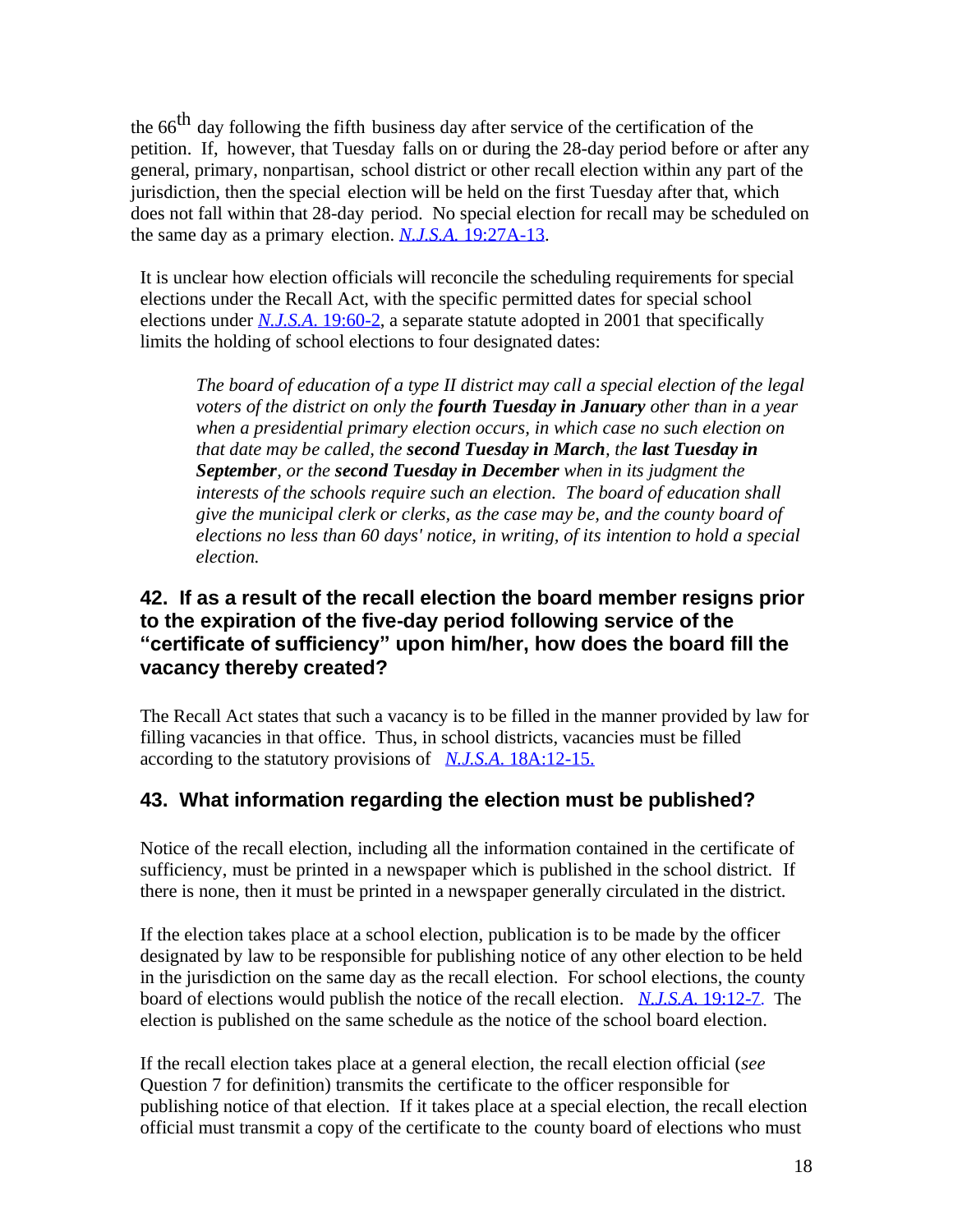the  $66<sup>th</sup>$  day following the fifth business day after service of the certification of the petition. If, however, that Tuesday falls on or during the 28-day period before or after any general, primary, nonpartisan, school district or other recall election within any part of the jurisdiction, then the special election will be held on the first Tuesday after that, which does not fall within that 28-day period. No special election for recall may be scheduled on the same day as a primary election. *N.J.S.A.* [19:27A-13.](https://njlaw.rutgers.edu/cgi-bin/njstats/showsect.cgi?section=19%3A27A-13&actn=getsect)

It is unclear how election officials will reconcile the scheduling requirements for special elections under the Recall Act, with the specific permitted dates for special school elections under *N.J.S.A*. [19:60-2,](https://njlaw.rutgers.edu/cgi-bin/njstats/showsect.cgi?section=19%3A60-2&actn=getsect) a separate statute adopted in 2001 that specifically limits the holding of school elections to four designated dates:

*The board of education of a type II district may call a special election of the legal voters of the district on only the fourth Tuesday in January other than in a year when a presidential primary election occurs, in which case no such election on that date may be called, the second Tuesday in March, the last Tuesday in September, or the second Tuesday in December when in its judgment the interests of the schools require such an election. The board of education shall give the municipal clerk or clerks, as the case may be, and the county board of elections no less than 60 days' notice, in writing, of its intention to hold a special election.*

#### **42. If as a result of the recall election the board member resigns prior to the expiration of the five-day period following service of the "certificate of sufficiency" upon him/her, how does the board fill the vacancy thereby created?**

The Recall Act states that such a vacancy is to be filled in the manner provided by law for filling vacancies in that office. Thus, in school districts, vacancies must be filled according to the statutory provisions of *N.J.S.A*. [18A:12-15.](https://njlaw.rutgers.edu/cgi-bin/njstats/showsect.cgi?section=18A%3A12-15&actn=getsect)

## **43. What information regarding the election must be published?**

Notice of the recall election, including all the information contained in the certificate of sufficiency, must be printed in a newspaper which is published in the school district. If there is none, then it must be printed in a newspaper generally circulated in the district.

If the election takes place at a school election, publication is to be made by the officer designated by law to be responsible for publishing notice of any other election to be held in the jurisdiction on the same day as the recall election. For school elections, the county board of elections would publish the notice of the recall election. *N.J.S.A*. [19:12-7](https://njlaw.rutgers.edu/cgi-bin/njstats/showsect.cgi?section=19%3A12-7&actn=getsect). The election is published on the same schedule as the notice of the school board election.

<span id="page-17-0"></span>If the recall election takes place at a general election, the recall election official (*see*  Question 7 for definition) transmits the certificate to the officer responsible for publishing notice of that election. If it takes place at a special election, the recall election official must transmit a copy of the certificate to the county board of elections who must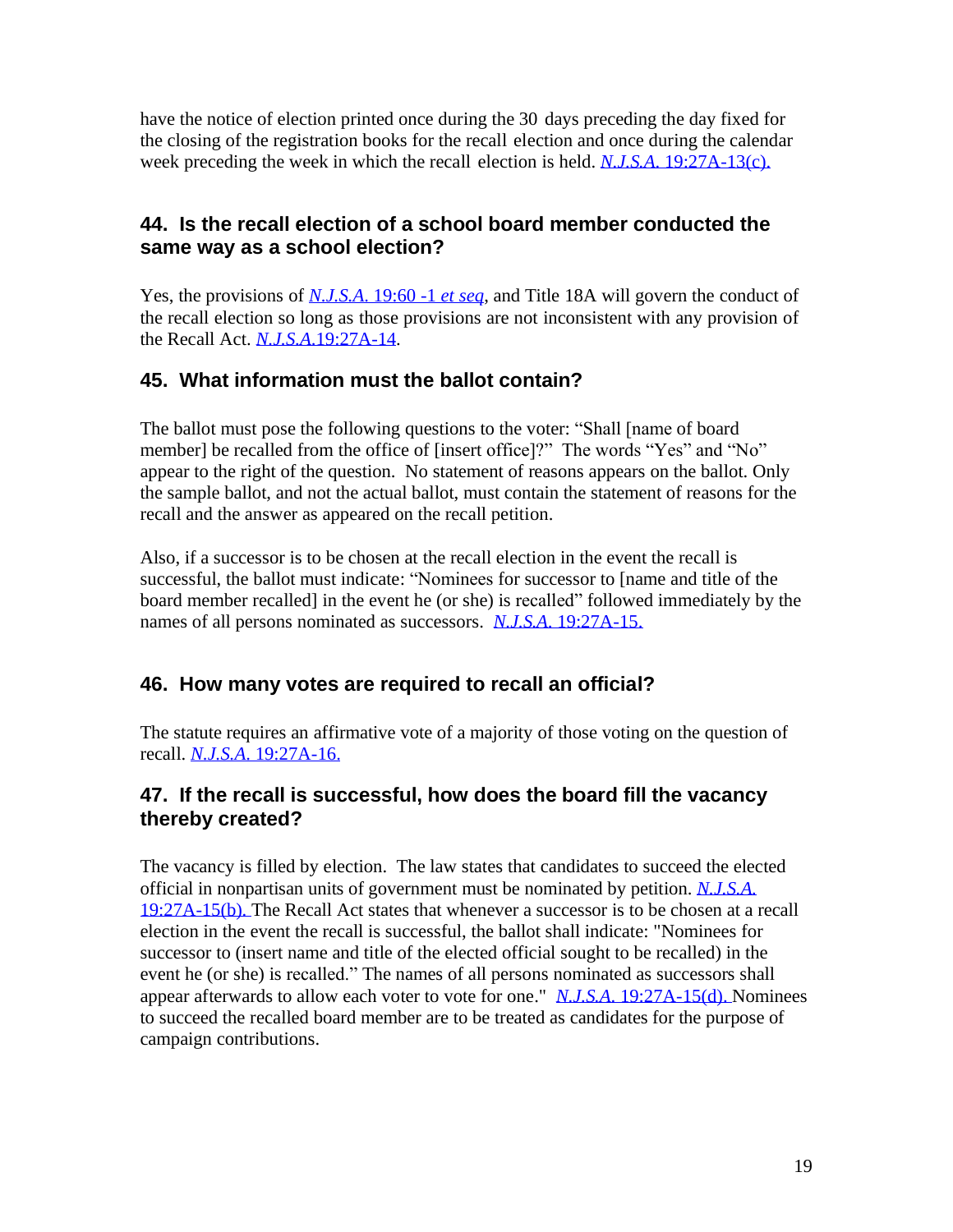have the notice of election printed once during the 30 days preceding the day fixed for the closing of the registration books for the recall election and once during the calendar week preceding the week in which the recall election is held. *N.J.S.A*. [19:27A-13\(c\).](https://njlaw.rutgers.edu/cgi-bin/njstats/showsect.cgi?section=19%3A27A-13&actn=getsect)

#### **44. Is the recall election of a school board member conducted the same way as a school election?**

Yes, the provisions of *[N.J.S.A](https://njlaw.rutgers.edu/cgi-bin/njstats/showsect.cgi?section=19%3A60-1&actn=getsect).* 19:60 -1 *et seq*, and Title 18A will govern the conduct of the recall election so long as those provisions are not inconsistent with any provision of the Recall Act. *N.J.S.A*[.19:27A-14.](https://njlaw.rutgers.edu/cgi-bin/njstats/showsect.cgi?title=19&chapter=27A§ion=14&actn=getsect)

## **45. What information must the ballot contain?**

The ballot must pose the following questions to the voter: "Shall [name of board member] be recalled from the office of [insert office]?" The words "Yes" and "No" appear to the right of the question. No statement of reasons appears on the ballot. Only the sample ballot, and not the actual ballot, must contain the statement of reasons for the recall and the answer as appeared on the recall petition.

Also, if a successor is to be chosen at the recall election in the event the recall is successful, the ballot must indicate: "Nominees for successor to [name and title of the board member recalled] in the event he (or she) is recalled" followed immediately by the names of all persons nominated as successors. *N.J.S.A*. [19:27A-15.](https://njlaw.rutgers.edu/cgi-bin/njstats/showsect.cgi?title=19&chapter=27A§ion=15&actn=getsect)

## **46. How many votes are required to recall an official?**

The statute requires an affirmative vote of a majority of those voting on the question of recall. *N.J.S.A*. [19:27A-16.](https://njlaw.rutgers.edu/cgi-bin/njstats/showsect.cgi?title=19&chapter=27A§ion=16&actn=getsect)

## **47. If the recall is successful, how does the board fill the vacancy thereby created?**

The vacancy is filled by election. The law states that candidates to succeed the elected official in nonpartisan units of government must be nominated by petition. *[N.J.S.A.](http://lis.njleg.state.nj.us/cgi-bin/om_isapi.dll?clientID=197118&Depth=2&TD=WRAP&advquery=%2219%3a27A-1%22&depth=4&expandheadings=on&headingswithhits=on&hitsperheading=on&infobase=statutes.nfo&rank&record=%7b9018%7d&softpage=Document42&wordsaroundhits=2&x=13)* [19:27A-15\(b\).](https://njlaw.rutgers.edu/cgi-bin/njstats/showsect.cgi?title=19&chapter=27A§ion=15&actn=getsect) The Recall Act states that whenever a successor is to be chosen at a recall election in the event the recall is successful, the ballot shall indicate: "Nominees for successor to (insert name and title of the elected official sought to be recalled) in the event he (or she) is recalled." The names of all persons nominated as successors shall appear afterwards to allow each voter to vote for one." *N.J.S.A*. [19:27A-15\(d\).](https://njlaw.rutgers.edu/cgi-bin/njstats/showsect.cgi?title=19&chapter=27A§ion=15&actn=getsect) Nominees to succeed the recalled board member are to be treated as candidates for the purpose of campaign contributions.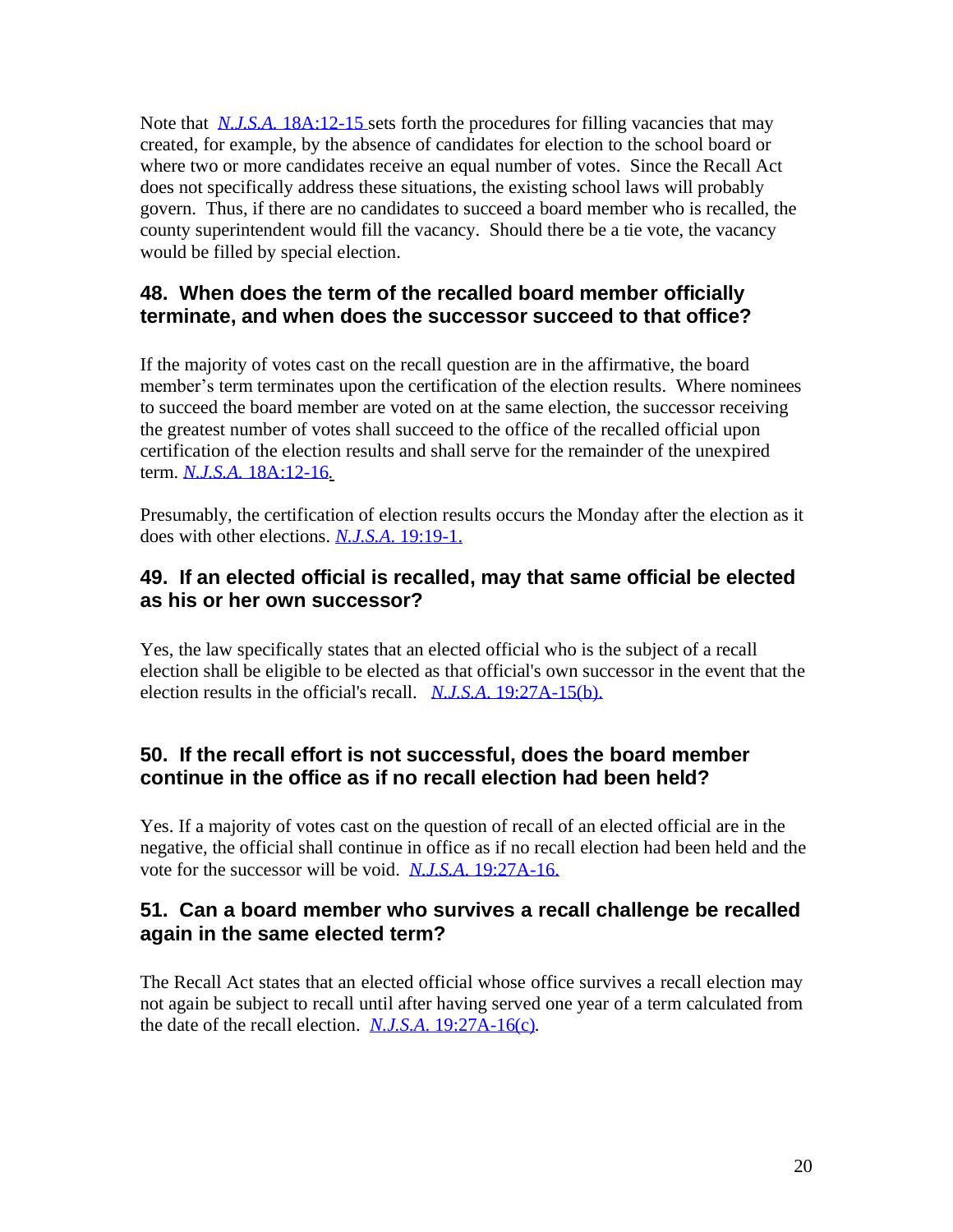<span id="page-19-0"></span>Note that *N.J.S.A.* [18A:12-15 s](https://njlaw.rutgers.edu/cgi-bin/njstats/showsect.cgi?section=18A%3A12-15&actn=getsect)ets forth the procedures for filling vacancies that may created, for example, by the absence of candidates for election to the school board or where two or more candidates receive an equal number of votes. Since the Recall Act does not specifically address these situations, the existing school laws will probably govern. Thus, if there are no candidates to succeed a board member who is recalled, the county superintendent would fill the vacancy. Should there be a tie vote, the vacancy would be filled by special election.

#### **48. When does the term of the recalled board member officially terminate, and when does the successor succeed to that office?**

If the majority of votes cast on the recall question are in the affirmative, the board member's term terminates upon the certification of the election results. Where nominees to succeed the board member are voted on at the same election, the successor receiving the greatest number of votes shall succeed to the office of the recalled official upon certification of the election results and shall serve for the remainder of the unexpired term. *N.J.S.A.* [18A:12-16](https://njlaw.rutgers.edu/cgi-bin/njstats/showsect.cgi?section=18A%3A12-16&actn=getsect)*.*

Presumably, the certification of election results occurs the Monday after the election as it does with other elections. *N.J.S.A*. [19:19-1.](https://njlaw.rutgers.edu/cgi-bin/njstats/showsect.cgi?section=19%3A19-1&actn=getsect)

#### **49. If an elected official is recalled, may that same official be elected as his or her own successor?**

Yes, the law specifically states that an elected official who is the subject of a recall election shall be eligible to be elected as that official's own successor in the event that the election results in the official's recall. *N.J.S.A*. [19:27A-15\(b\).](https://njlaw.rutgers.edu/cgi-bin/njstats/showsect.cgi?section=19%3A27A-15&actn=getsect)

## **50. If the recall effort is not successful, does the board member continue in the office as if no recall election had been held?**

Yes. If a majority of votes cast on the question of recall of an elected official are in the negative, the official shall continue in office as if no recall election had been held and the vote for the successor will be void. *N.J.S.A*. [19:27A-16.](https://njlaw.rutgers.edu/cgi-bin/njstats/showsect.cgi?title=19&chapter=27A§ion=16&actn=getsect)

## **51. Can a board member who survives a recall challenge be recalled again in the same elected term?**

The Recall Act states that an elected official whose office survives a recall election may not again be subject to recall until after having served one year of a term calculated from the date of the recall election. *N.J.S.A*. [19:27A-16\(c\)](https://njlaw.rutgers.edu/cgi-bin/njstats/showsect.cgi?title=19&chapter=27A§ion=16&actn=getsect)*.*